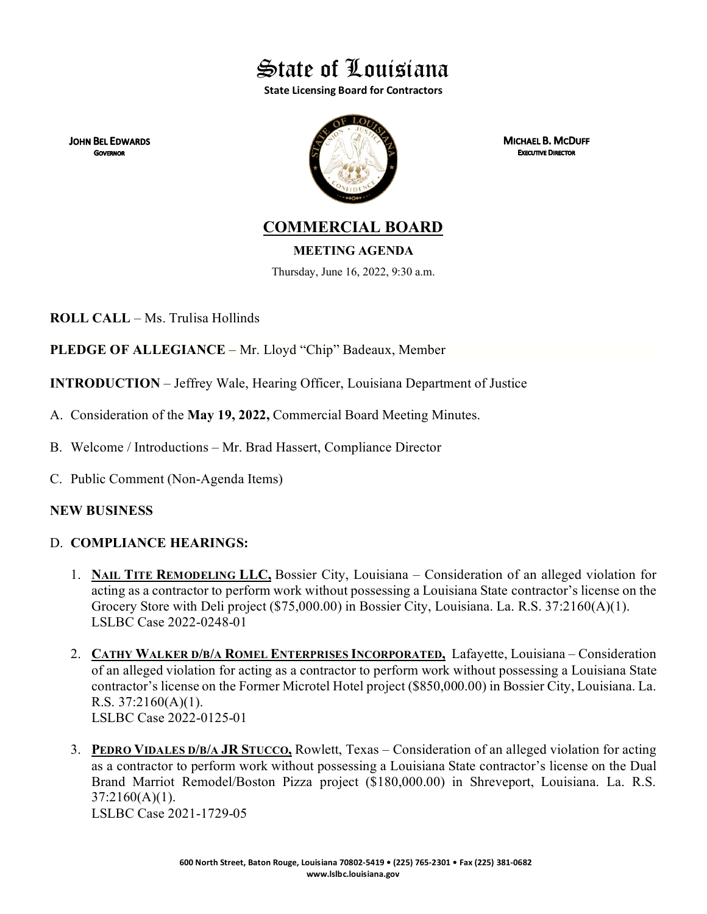State of Louisiana

**State Licensing Board for Contractors**

**JOHN BEL EDWARDS GOVERNOR** 



**MICHAEL B. MCDUFF EXECUTIVE DIRECTOR** 

**COMMERCIAL BOARD**

**MEETING AGENDA**

Thursday, June 16, 2022, 9:30 a.m.

**ROLL CALL** – Ms. Trulisa Hollinds

**PLEDGE OF ALLEGIANCE** – Mr. Lloyd "Chip" Badeaux, Member

**INTRODUCTION** – Jeffrey Wale, Hearing Officer, Louisiana Department of Justice

- A. Consideration of the **May 19, 2022,** Commercial Board Meeting Minutes.
- B. Welcome / Introductions Mr. Brad Hassert, Compliance Director
- C. Public Comment (Non-Agenda Items)

## **NEW BUSINESS**

## D. **COMPLIANCE HEARINGS:**

- 1. **NAIL TITE REMODELING LLC,** Bossier City, Louisiana Consideration of an alleged violation for acting as a contractor to perform work without possessing a Louisiana State contractor's license on the Grocery Store with Deli project (\$75,000.00) in Bossier City, Louisiana. La. R.S. 37:2160(A)(1). LSLBC Case 2022-0248-01
- 2. **CATHY WALKER D/B/A ROMEL ENTERPRISES INCORPORATED,** Lafayette, Louisiana Consideration of an alleged violation for acting as a contractor to perform work without possessing a Louisiana State contractor's license on the Former Microtel Hotel project (\$850,000.00) in Bossier City, Louisiana. La. R.S.  $37:2160(A)(1)$ . LSLBC Case 2022-0125-01
- 3. **PEDRO VIDALES D/B/A JR STUCCO,** Rowlett, Texas Consideration of an alleged violation for acting as a contractor to perform work without possessing a Louisiana State contractor's license on the Dual Brand Marriot Remodel/Boston Pizza project (\$180,000.00) in Shreveport, Louisiana. La. R.S. 37:2160(A)(1). LSLBC Case 2021-1729-05

**600 North Street, Baton Rouge, Louisiana 70802-5419 • (225) 765-2301 • Fax (225) 381-0682 www.lslbc.louisiana.gov**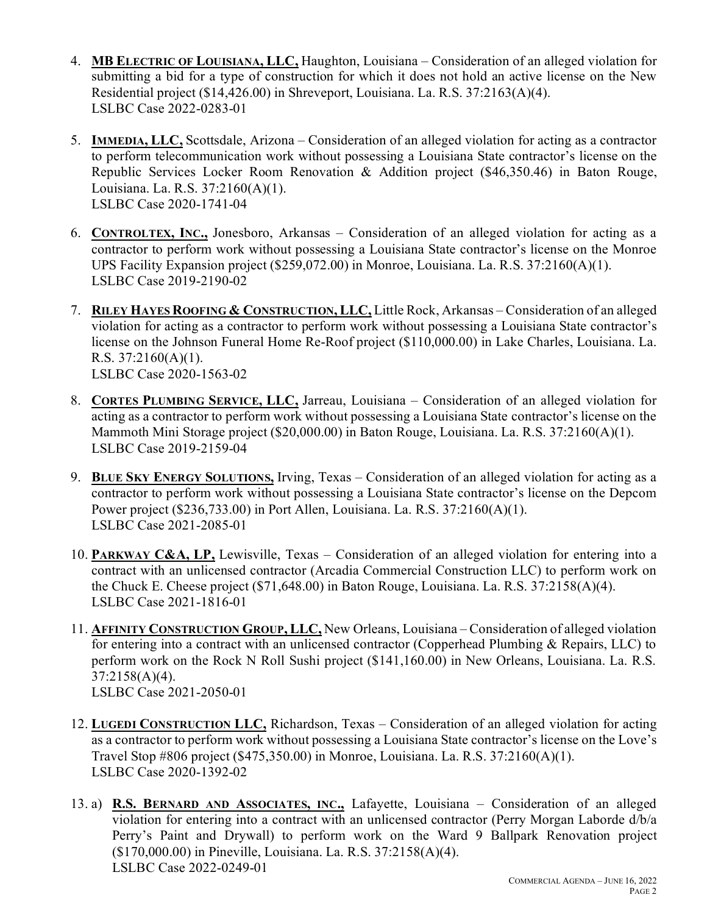- 4. **MB ELECTRIC OF LOUISIANA, LLC,** Haughton, Louisiana Consideration of an alleged violation for submitting a bid for a type of construction for which it does not hold an active license on the New Residential project (\$14,426.00) in Shreveport, Louisiana. La. R.S. 37:2163(A)(4). LSLBC Case 2022-0283-01
- 5. **IMMEDIA, LLC,** Scottsdale, Arizona Consideration of an alleged violation for acting as a contractor to perform telecommunication work without possessing a Louisiana State contractor's license on the Republic Services Locker Room Renovation & Addition project (\$46,350.46) in Baton Rouge, Louisiana. La. R.S. 37:2160(A)(1). LSLBC Case 2020-1741-04
- 6. **CONTROLTEX, INC.,** Jonesboro, Arkansas Consideration of an alleged violation for acting as a contractor to perform work without possessing a Louisiana State contractor's license on the Monroe UPS Facility Expansion project (\$259,072.00) in Monroe, Louisiana. La. R.S. 37:2160(A)(1). LSLBC Case 2019-2190-02
- 7. **RILEY HAYES ROOFING & CONSTRUCTION, LLC,** Little Rock, Arkansas Consideration of an alleged violation for acting as a contractor to perform work without possessing a Louisiana State contractor's license on the Johnson Funeral Home Re-Roof project (\$110,000.00) in Lake Charles, Louisiana. La. R.S.  $37:2160(A)(1)$ . LSLBC Case 2020-1563-02
- 8. **CORTES PLUMBING SERVICE, LLC,** Jarreau, Louisiana Consideration of an alleged violation for acting as a contractor to perform work without possessing a Louisiana State contractor's license on the Mammoth Mini Storage project (\$20,000.00) in Baton Rouge, Louisiana. La. R.S. 37:2160(A)(1). LSLBC Case 2019-2159-04
- 9. **BLUE SKY ENERGY SOLUTIONS,** Irving, Texas Consideration of an alleged violation for acting as a contractor to perform work without possessing a Louisiana State contractor's license on the Depcom Power project (\$236,733.00) in Port Allen, Louisiana. La. R.S. 37:2160(A)(1). LSLBC Case 2021-2085-01
- 10. **PARKWAY C&A, LP,** Lewisville, Texas Consideration of an alleged violation for entering into a contract with an unlicensed contractor (Arcadia Commercial Construction LLC) to perform work on the Chuck E. Cheese project (\$71,648.00) in Baton Rouge, Louisiana. La. R.S. 37:2158(A)(4). LSLBC Case 2021-1816-01
- 11. **AFFINITY CONSTRUCTION GROUP, LLC,** New Orleans, Louisiana Consideration of alleged violation for entering into a contract with an unlicensed contractor (Copperhead Plumbing & Repairs, LLC) to perform work on the Rock N Roll Sushi project (\$141,160.00) in New Orleans, Louisiana. La. R.S. 37:2158(A)(4). LSLBC Case 2021-2050-01
- 12. **LUGEDI CONSTRUCTION LLC,** Richardson, Texas Consideration of an alleged violation for acting as a contractor to perform work without possessing a Louisiana State contractor's license on the Love's Travel Stop #806 project (\$475,350.00) in Monroe, Louisiana. La. R.S. 37:2160(A)(1). LSLBC Case 2020-1392-02
- 13. a) **R.S. BERNARD AND ASSOCIATES, INC.,** Lafayette, Louisiana Consideration of an alleged violation for entering into a contract with an unlicensed contractor (Perry Morgan Laborde d/b/a Perry's Paint and Drywall) to perform work on the Ward 9 Ballpark Renovation project (\$170,000.00) in Pineville, Louisiana. La. R.S. 37:2158(A)(4). LSLBC Case 2022-0249-01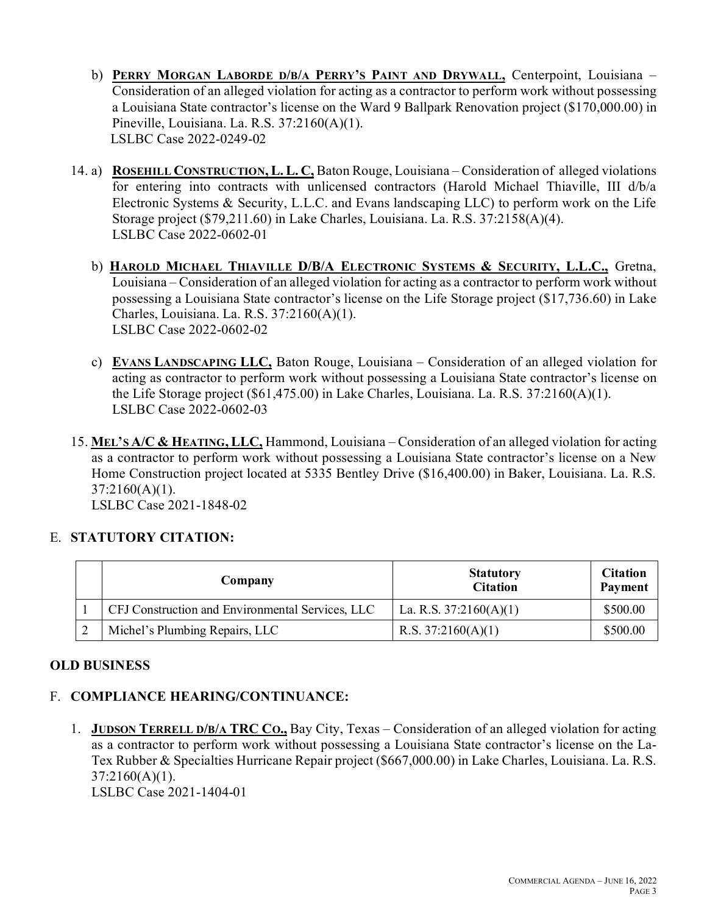- b) **PERRY MORGAN LABORDE D/B/A PERRY'S PAINT AND DRYWALL,** Centerpoint, Louisiana Consideration of an alleged violation for acting as a contractor to perform work without possessing a Louisiana State contractor's license on the Ward 9 Ballpark Renovation project (\$170,000.00) in Pineville, Louisiana. La. R.S. 37:2160(A)(1). LSLBC Case 2022-0249-02
- 14. a) **ROSEHILL CONSTRUCTION, L. L. C,** Baton Rouge, Louisiana Consideration of alleged violations for entering into contracts with unlicensed contractors (Harold Michael Thiaville, III d/b/a Electronic Systems & Security, L.L.C. and Evans landscaping LLC) to perform work on the Life Storage project (\$79,211.60) in Lake Charles, Louisiana. La. R.S. 37:2158(A)(4). LSLBC Case 2022-0602-01
	- b) **HAROLD MICHAEL THIAVILLE D/B/A ELECTRONIC SYSTEMS & SECURITY, L.L.C.,** Gretna, Louisiana – Consideration of an alleged violation for acting as a contractor to perform work without possessing a Louisiana State contractor's license on the Life Storage project (\$17,736.60) in Lake Charles, Louisiana. La. R.S. 37:2160(A)(1). LSLBC Case 2022-0602-02
	- c) **EVANS LANDSCAPING LLC,** Baton Rouge, Louisiana Consideration of an alleged violation for acting as contractor to perform work without possessing a Louisiana State contractor's license on the Life Storage project (\$61,475.00) in Lake Charles, Louisiana. La. R.S. 37:2160(A)(1). LSLBC Case 2022-0602-03
- 15. **MEL'S A/C & HEATING, LLC,** Hammond, Louisiana Consideration of an alleged violation for acting as a contractor to perform work without possessing a Louisiana State contractor's license on a New Home Construction project located at 5335 Bentley Drive (\$16,400.00) in Baker, Louisiana. La. R.S.  $37:2160(A)(1)$ . LSLBC Case 2021-1848-02

## E. **STATUTORY CITATION:**

| Company                                          | <b>Statutory</b><br><b>Citation</b> | <b>Citation</b><br>Payment |
|--------------------------------------------------|-------------------------------------|----------------------------|
| CFJ Construction and Environmental Services, LLC | La. R.S. $37:2160(A)(1)$            | \$500.00                   |
| Michel's Plumbing Repairs, LLC                   | R.S. $37:2160(A)(1)$                | \$500.00                   |

## **OLD BUSINESS**

## F. **COMPLIANCE HEARING/CONTINUANCE:**

1. **JUDSON TERRELL D/B/A TRC CO.,** Bay City, Texas – Consideration of an alleged violation for acting as a contractor to perform work without possessing a Louisiana State contractor's license on the La-Tex Rubber & Specialties Hurricane Repair project (\$667,000.00) in Lake Charles, Louisiana. La. R.S. 37:2160(A)(1).

LSLBC Case 2021-1404-01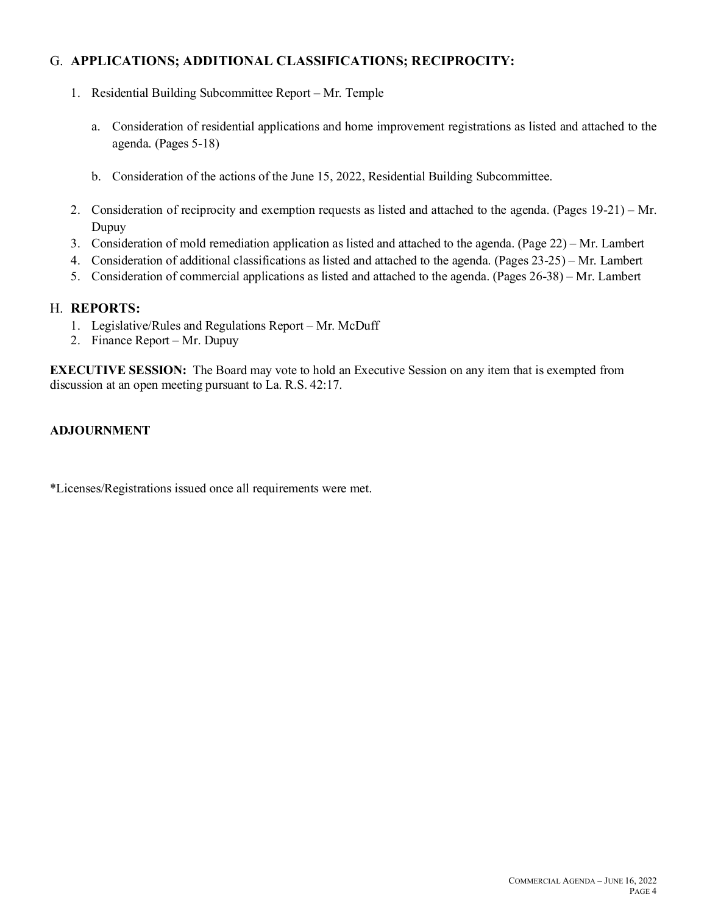## G. **APPLICATIONS; ADDITIONAL CLASSIFICATIONS; RECIPROCITY:**

- 1. Residential Building Subcommittee Report Mr. Temple
	- a. Consideration of residential applications and home improvement registrations as listed and attached to the agenda. (Pages 5-18)
	- b. Consideration of the actions of the June 15, 2022, Residential Building Subcommittee.
- 2. Consideration of reciprocity and exemption requests as listed and attached to the agenda. (Pages 19-21) Mr. Dupuy
- 3. Consideration of mold remediation application as listed and attached to the agenda. (Page 22) Mr. Lambert
- 4. Consideration of additional classifications as listed and attached to the agenda. (Pages 23-25) Mr. Lambert
- 5. Consideration of commercial applications as listed and attached to the agenda. (Pages 26-38) Mr. Lambert

## H. **REPORTS:**

- 1. Legislative/Rules and Regulations Report Mr. McDuff
- 2. Finance Report Mr. Dupuy

**EXECUTIVE SESSION:** The Board may vote to hold an Executive Session on any item that is exempted from discussion at an open meeting pursuant to La. R.S. 42:17.

## **ADJOURNMENT**

\*Licenses/Registrations issued once all requirements were met.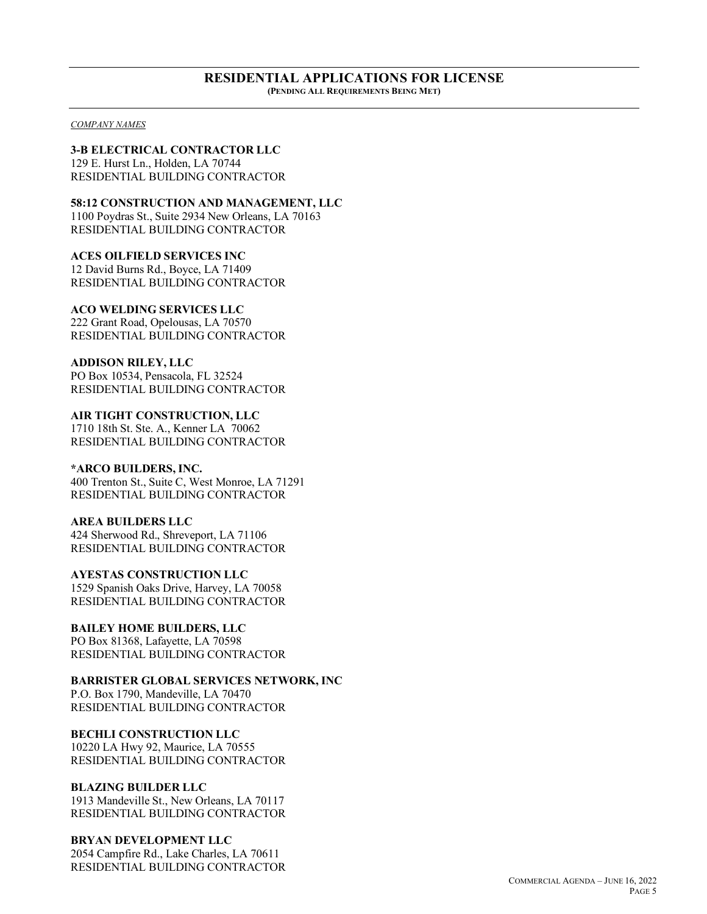#### **RESIDENTIAL APPLICATIONS FOR LICENSE (PENDING ALL REQUIREMENTS BEING MET)**

*COMPANY NAMES*

## **3-B ELECTRICAL CONTRACTOR LLC**

129 E. Hurst Ln., Holden, LA 70744 RESIDENTIAL BUILDING CONTRACTOR

**58:12 CONSTRUCTION AND MANAGEMENT, LLC** 1100 Poydras St., Suite 2934 New Orleans, LA 70163 RESIDENTIAL BUILDING CONTRACTOR

**ACES OILFIELD SERVICES INC** 12 David Burns Rd., Boyce, LA 71409 RESIDENTIAL BUILDING CONTRACTOR

## **ACO WELDING SERVICES LLC**

222 Grant Road, Opelousas, LA 70570 RESIDENTIAL BUILDING CONTRACTOR

**ADDISON RILEY, LLC** PO Box 10534, Pensacola, FL 32524

RESIDENTIAL BUILDING CONTRACTOR

**AIR TIGHT CONSTRUCTION, LLC** 1710 18th St. Ste. A., Kenner LA 70062 RESIDENTIAL BUILDING CONTRACTOR

#### **\*ARCO BUILDERS, INC.**

400 Trenton St., Suite C, West Monroe, LA 71291 RESIDENTIAL BUILDING CONTRACTOR

## **AREA BUILDERS LLC**

424 Sherwood Rd., Shreveport, LA 71106 RESIDENTIAL BUILDING CONTRACTOR

**AYESTAS CONSTRUCTION LLC** 1529 Spanish Oaks Drive, Harvey, LA 70058

RESIDENTIAL BUILDING CONTRACTOR

## **BAILEY HOME BUILDERS, LLC**

PO Box 81368, Lafayette, LA 70598 RESIDENTIAL BUILDING CONTRACTOR

## **BARRISTER GLOBAL SERVICES NETWORK, INC**

P.O. Box 1790, Mandeville, LA 70470 RESIDENTIAL BUILDING CONTRACTOR

## **BECHLI CONSTRUCTION LLC**

10220 LA Hwy 92, Maurice, LA 70555 RESIDENTIAL BUILDING CONTRACTOR

## **BLAZING BUILDER LLC**

1913 Mandeville St., New Orleans, LA 70117 RESIDENTIAL BUILDING CONTRACTOR

**BRYAN DEVELOPMENT LLC** 2054 Campfire Rd., Lake Charles, LA 70611 RESIDENTIAL BUILDING CONTRACTOR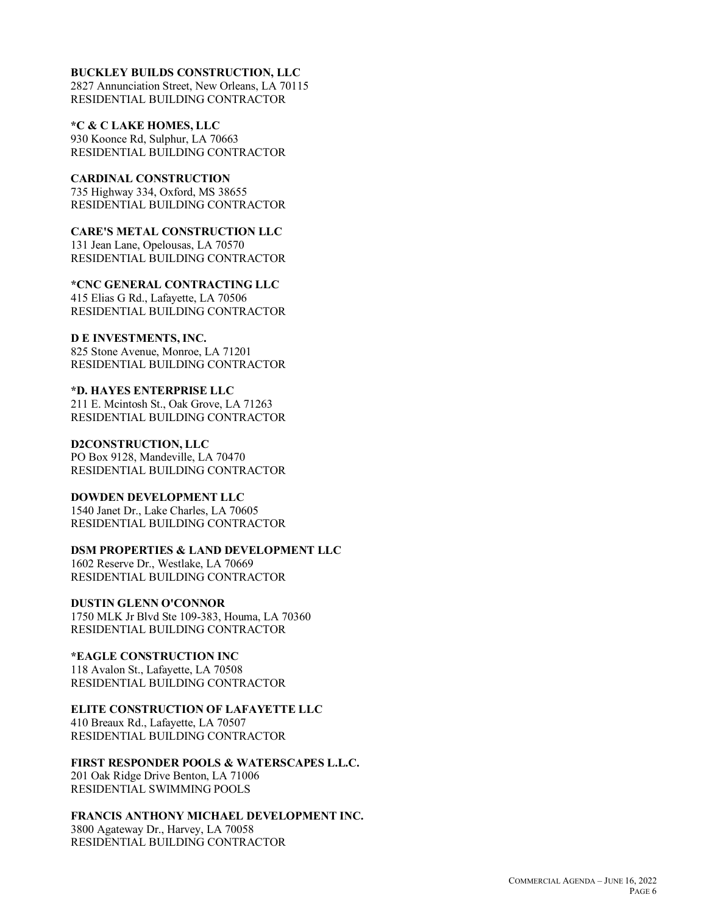#### **BUCKLEY BUILDS CONSTRUCTION, LLC**

2827 Annunciation Street, New Orleans, LA 70115 RESIDENTIAL BUILDING CONTRACTOR

**\*C & C LAKE HOMES, LLC** 930 Koonce Rd, Sulphur, LA 70663 RESIDENTIAL BUILDING CONTRACTOR

**CARDINAL CONSTRUCTION** 735 Highway 334, Oxford, MS 38655 RESIDENTIAL BUILDING CONTRACTOR

**CARE'S METAL CONSTRUCTION LLC** 131 Jean Lane, Opelousas, LA 70570 RESIDENTIAL BUILDING CONTRACTOR

**\*CNC GENERAL CONTRACTING LLC** 415 Elias G Rd., Lafayette, LA 70506 RESIDENTIAL BUILDING CONTRACTOR

**D E INVESTMENTS, INC.** 825 Stone Avenue, Monroe, LA 71201 RESIDENTIAL BUILDING CONTRACTOR

**\*D. HAYES ENTERPRISE LLC** 211 E. Mcintosh St., Oak Grove, LA 71263 RESIDENTIAL BUILDING CONTRACTOR

**D2CONSTRUCTION, LLC** PO Box 9128, Mandeville, LA 70470 RESIDENTIAL BUILDING CONTRACTOR

**DOWDEN DEVELOPMENT LLC** 1540 Janet Dr., Lake Charles, LA 70605 RESIDENTIAL BUILDING CONTRACTOR

**DSM PROPERTIES & LAND DEVELOPMENT LLC** 1602 Reserve Dr., Westlake, LA 70669

RESIDENTIAL BUILDING CONTRACTOR

**DUSTIN GLENN O'CONNOR** 1750 MLK Jr Blvd Ste 109-383, Houma, LA 70360 RESIDENTIAL BUILDING CONTRACTOR

**\*EAGLE CONSTRUCTION INC** 118 Avalon St., Lafayette, LA 70508 RESIDENTIAL BUILDING CONTRACTOR

**ELITE CONSTRUCTION OF LAFAYETTE LLC**

410 Breaux Rd., Lafayette, LA 70507 RESIDENTIAL BUILDING CONTRACTOR

**FIRST RESPONDER POOLS & WATERSCAPES L.L.C.** 201 Oak Ridge Drive Benton, LA 71006 RESIDENTIAL SWIMMING POOLS

**FRANCIS ANTHONY MICHAEL DEVELOPMENT INC.**

3800 Agateway Dr., Harvey, LA 70058 RESIDENTIAL BUILDING CONTRACTOR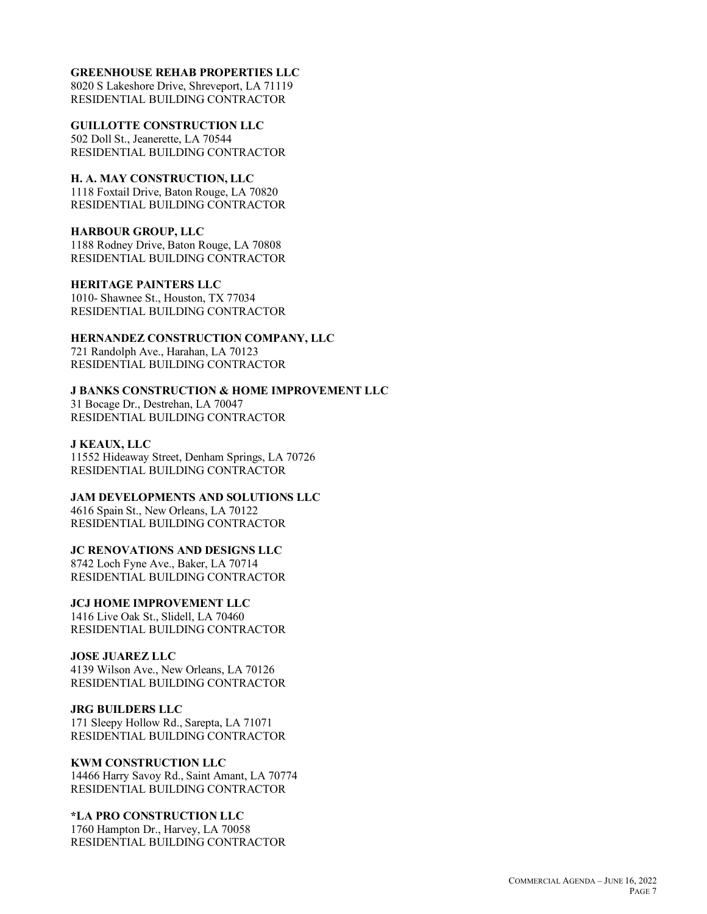#### **GREENHOUSE REHAB PROPERTIES LLC**

8020 S Lakeshore Drive, Shreveport, LA 71119 RESIDENTIAL BUILDING CONTRACTOR

**GUILLOTTE CONSTRUCTION LLC** 502 Doll St., Jeanerette, LA 70544 RESIDENTIAL BUILDING CONTRACTOR

**H. A. MAY CONSTRUCTION, LLC** 1118 Foxtail Drive, Baton Rouge, LA 70820 RESIDENTIAL BUILDING CONTRACTOR

#### **HARBOUR GROUP, LLC** 1188 Rodney Drive, Baton Rouge, LA 70808 RESIDENTIAL BUILDING CONTRACTOR

**HERITAGE PAINTERS LLC** 1010- Shawnee St., Houston, TX 77034 RESIDENTIAL BUILDING CONTRACTOR

## **HERNANDEZ CONSTRUCTION COMPANY, LLC**

721 Randolph Ave., Harahan, LA 70123 RESIDENTIAL BUILDING CONTRACTOR

**J BANKS CONSTRUCTION & HOME IMPROVEMENT LLC** 31 Bocage Dr., Destrehan, LA 70047 RESIDENTIAL BUILDING CONTRACTOR

## **J KEAUX, LLC**

11552 Hideaway Street, Denham Springs, LA 70726 RESIDENTIAL BUILDING CONTRACTOR

**JAM DEVELOPMENTS AND SOLUTIONS LLC** 4616 Spain St., New Orleans, LA 70122 RESIDENTIAL BUILDING CONTRACTOR

## **JC RENOVATIONS AND DESIGNS LLC**

8742 Loch Fyne Ave., Baker, LA 70714 RESIDENTIAL BUILDING CONTRACTOR

## **JCJ HOME IMPROVEMENT LLC**

1416 Live Oak St., Slidell, LA 70460 RESIDENTIAL BUILDING CONTRACTOR

## **JOSE JUAREZ LLC**

4139 Wilson Ave., New Orleans, LA 70126 RESIDENTIAL BUILDING CONTRACTOR

## **JRG BUILDERS LLC**

171 Sleepy Hollow Rd., Sarepta, LA 71071 RESIDENTIAL BUILDING CONTRACTOR

## **KWM CONSTRUCTION LLC**

14466 Harry Savoy Rd., Saint Amant, LA 70774 RESIDENTIAL BUILDING CONTRACTOR

## **\*LA PRO CONSTRUCTION LLC**

1760 Hampton Dr., Harvey, LA 70058 RESIDENTIAL BUILDING CONTRACTOR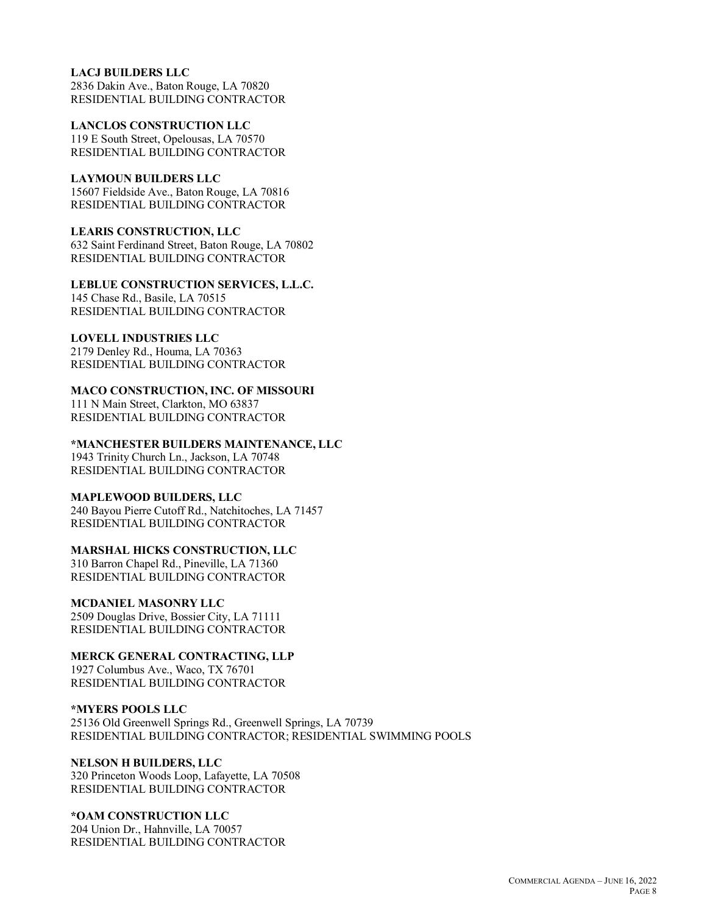## **LACJ BUILDERS LLC**

2836 Dakin Ave., Baton Rouge, LA 70820 RESIDENTIAL BUILDING CONTRACTOR

**LANCLOS CONSTRUCTION LLC** 119 E South Street, Opelousas, LA 70570 RESIDENTIAL BUILDING CONTRACTOR

## **LAYMOUN BUILDERS LLC**

15607 Fieldside Ave., Baton Rouge, LA 70816 RESIDENTIAL BUILDING CONTRACTOR

**LEARIS CONSTRUCTION, LLC**

632 Saint Ferdinand Street, Baton Rouge, LA 70802 RESIDENTIAL BUILDING CONTRACTOR

## **LEBLUE CONSTRUCTION SERVICES, L.L.C.**

145 Chase Rd., Basile, LA 70515 RESIDENTIAL BUILDING CONTRACTOR

## **LOVELL INDUSTRIES LLC**

2179 Denley Rd., Houma, LA 70363 RESIDENTIAL BUILDING CONTRACTOR

## **MACO CONSTRUCTION, INC. OF MISSOURI**

111 N Main Street, Clarkton, MO 63837 RESIDENTIAL BUILDING CONTRACTOR

## **\*MANCHESTER BUILDERS MAINTENANCE, LLC**

1943 Trinity Church Ln., Jackson, LA 70748 RESIDENTIAL BUILDING CONTRACTOR

#### **MAPLEWOOD BUILDERS, LLC**

240 Bayou Pierre Cutoff Rd., Natchitoches, LA 71457 RESIDENTIAL BUILDING CONTRACTOR

## **MARSHAL HICKS CONSTRUCTION, LLC**

310 Barron Chapel Rd., Pineville, LA 71360 RESIDENTIAL BUILDING CONTRACTOR

## **MCDANIEL MASONRY LLC**

2509 Douglas Drive, Bossier City, LA 71111 RESIDENTIAL BUILDING CONTRACTOR

**MERCK GENERAL CONTRACTING, LLP**

1927 Columbus Ave., Waco, TX 76701 RESIDENTIAL BUILDING CONTRACTOR

#### **\*MYERS POOLS LLC**

25136 Old Greenwell Springs Rd., Greenwell Springs, LA 70739 RESIDENTIAL BUILDING CONTRACTOR; RESIDENTIAL SWIMMING POOLS

#### **NELSON H BUILDERS, LLC** 320 Princeton Woods Loop, Lafayette, LA 70508 RESIDENTIAL BUILDING CONTRACTOR

## **\*OAM CONSTRUCTION LLC** 204 Union Dr., Hahnville, LA 70057

RESIDENTIAL BUILDING CONTRACTOR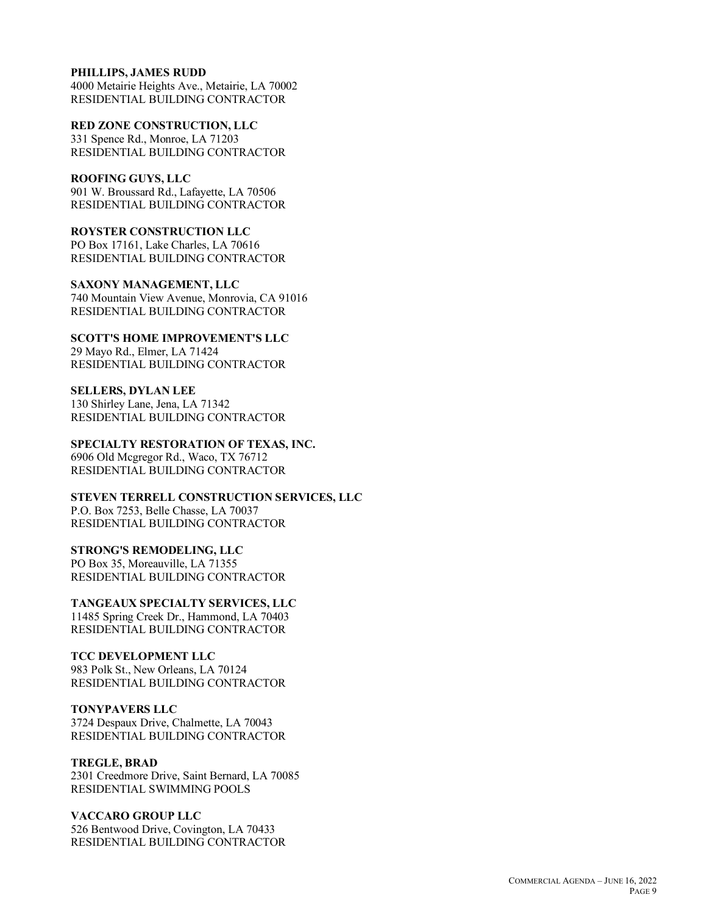#### **PHILLIPS, JAMES RUDD**

4000 Metairie Heights Ave., Metairie, LA 70002 RESIDENTIAL BUILDING CONTRACTOR

**RED ZONE CONSTRUCTION, LLC** 331 Spence Rd., Monroe, LA 71203 RESIDENTIAL BUILDING CONTRACTOR

## **ROOFING GUYS, LLC**

901 W. Broussard Rd., Lafayette, LA 70506 RESIDENTIAL BUILDING CONTRACTOR

**ROYSTER CONSTRUCTION LLC**

PO Box 17161, Lake Charles, LA 70616 RESIDENTIAL BUILDING CONTRACTOR

**SAXONY MANAGEMENT, LLC** 740 Mountain View Avenue, Monrovia, CA 91016 RESIDENTIAL BUILDING CONTRACTOR

**SCOTT'S HOME IMPROVEMENT'S LLC** 29 Mayo Rd., Elmer, LA 71424 RESIDENTIAL BUILDING CONTRACTOR

**SELLERS, DYLAN LEE** 130 Shirley Lane, Jena, LA 71342 RESIDENTIAL BUILDING CONTRACTOR

**SPECIALTY RESTORATION OF TEXAS, INC.** 6906 Old Mcgregor Rd., Waco, TX 76712 RESIDENTIAL BUILDING CONTRACTOR

**STEVEN TERRELL CONSTRUCTION SERVICES, LLC** P.O. Box 7253, Belle Chasse, LA 70037 RESIDENTIAL BUILDING CONTRACTOR

#### **STRONG'S REMODELING, LLC**

PO Box 35, Moreauville, LA 71355 RESIDENTIAL BUILDING CONTRACTOR

**TANGEAUX SPECIALTY SERVICES, LLC**

11485 Spring Creek Dr., Hammond, LA 70403 RESIDENTIAL BUILDING CONTRACTOR

## **TCC DEVELOPMENT LLC**

983 Polk St., New Orleans, LA 70124 RESIDENTIAL BUILDING CONTRACTOR

#### **TONYPAVERS LLC**

3724 Despaux Drive, Chalmette, LA 70043 RESIDENTIAL BUILDING CONTRACTOR

## **TREGLE, BRAD**

2301 Creedmore Drive, Saint Bernard, LA 70085 RESIDENTIAL SWIMMING POOLS

## **VACCARO GROUP LLC**

526 Bentwood Drive, Covington, LA 70433 RESIDENTIAL BUILDING CONTRACTOR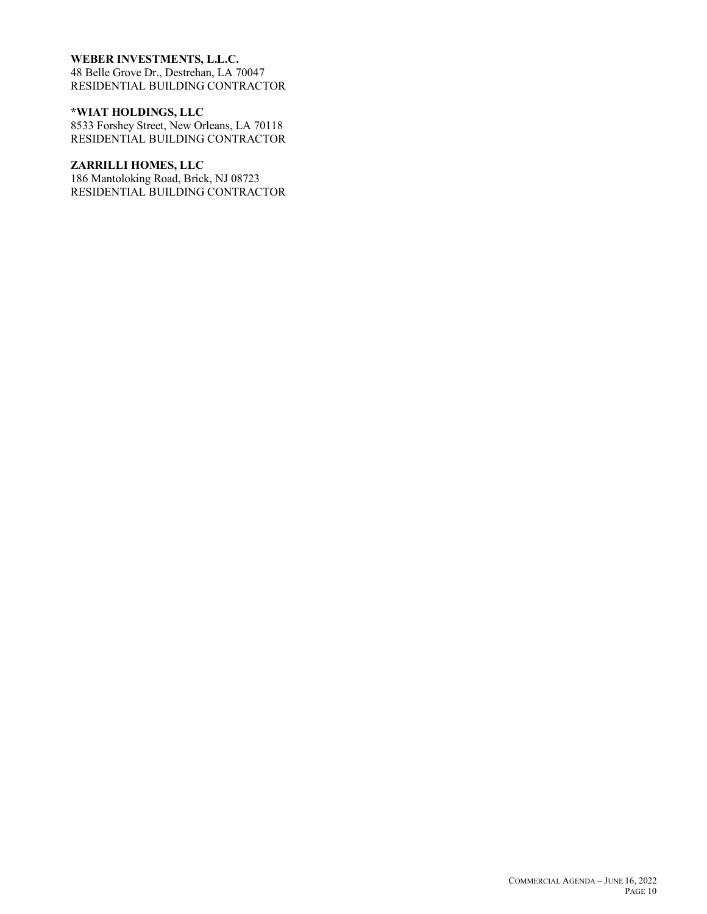## **WEBER INVESTMENTS, L.L.C.**

48 Belle Grove Dr., Destrehan, LA 70047 RESIDENTIAL BUILDING CONTRACTOR

## **\*WIAT HOLDINGS, LLC**

8533 Forshey Street, New Orleans, LA 70118 RESIDENTIAL BUILDING CONTRACTOR

## **ZARRILLI HOMES, LLC**

186 Mantoloking Road, Brick, NJ 08723 RESIDENTIAL BUILDING CONTRACTOR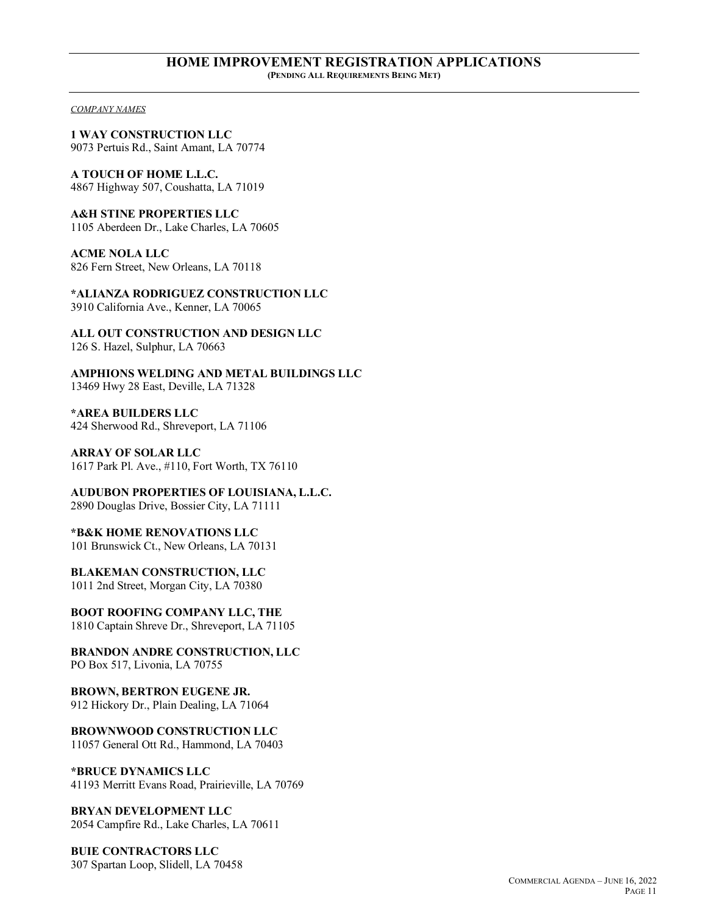#### **HOME IMPROVEMENT REGISTRATION APPLICATIONS (PENDING ALL REQUIREMENTS BEING MET)**

*COMPANY NAMES*

**1 WAY CONSTRUCTION LLC** 9073 Pertuis Rd., Saint Amant, LA 70774

**A TOUCH OF HOME L.L.C.** 4867 Highway 507, Coushatta, LA 71019

**A&H STINE PROPERTIES LLC** 1105 Aberdeen Dr., Lake Charles, LA 70605

**ACME NOLA LLC** 826 Fern Street, New Orleans, LA 70118

**\*ALIANZA RODRIGUEZ CONSTRUCTION LLC** 3910 California Ave., Kenner, LA 70065

**ALL OUT CONSTRUCTION AND DESIGN LLC** 126 S. Hazel, Sulphur, LA 70663

**AMPHIONS WELDING AND METAL BUILDINGS LLC** 13469 Hwy 28 East, Deville, LA 71328

**\*AREA BUILDERS LLC** 424 Sherwood Rd., Shreveport, LA 71106

**ARRAY OF SOLAR LLC** 1617 Park Pl. Ave., #110, Fort Worth, TX 76110

**AUDUBON PROPERTIES OF LOUISIANA, L.L.C.** 2890 Douglas Drive, Bossier City, LA 71111

**\*B&K HOME RENOVATIONS LLC** 101 Brunswick Ct., New Orleans, LA 70131

**BLAKEMAN CONSTRUCTION, LLC** 1011 2nd Street, Morgan City, LA 70380

**BOOT ROOFING COMPANY LLC, THE** 1810 Captain Shreve Dr., Shreveport, LA 71105

**BRANDON ANDRE CONSTRUCTION, LLC** PO Box 517, Livonia, LA 70755

**BROWN, BERTRON EUGENE JR.** 912 Hickory Dr., Plain Dealing, LA 71064

**BROWNWOOD CONSTRUCTION LLC** 11057 General Ott Rd., Hammond, LA 70403

**\*BRUCE DYNAMICS LLC** 41193 Merritt Evans Road, Prairieville, LA 70769

**BRYAN DEVELOPMENT LLC** 2054 Campfire Rd., Lake Charles, LA 70611

**BUIE CONTRACTORS LLC** 307 Spartan Loop, Slidell, LA 70458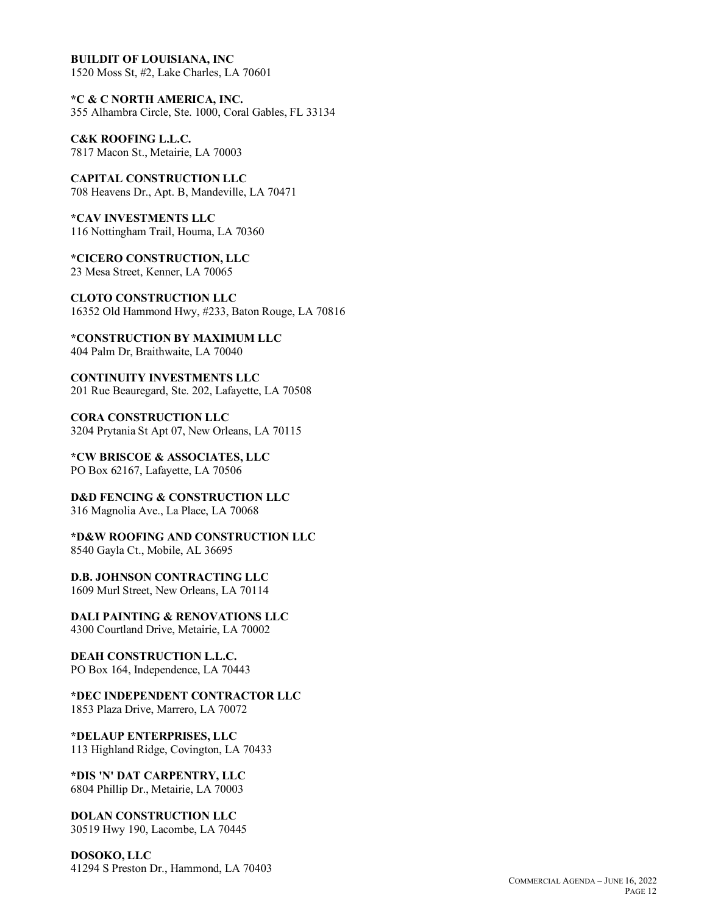**BUILDIT OF LOUISIANA, INC** 1520 Moss St, #2, Lake Charles, LA 70601

**\*C & C NORTH AMERICA, INC.** 355 Alhambra Circle, Ste. 1000, Coral Gables, FL 33134

**C&K ROOFING L.L.C.** 7817 Macon St., Metairie, LA 70003

**CAPITAL CONSTRUCTION LLC** 708 Heavens Dr., Apt. B, Mandeville, LA 70471

**\*CAV INVESTMENTS LLC** 116 Nottingham Trail, Houma, LA 70360

**\*CICERO CONSTRUCTION, LLC** 23 Mesa Street, Kenner, LA 70065

**CLOTO CONSTRUCTION LLC** 16352 Old Hammond Hwy, #233, Baton Rouge, LA 70816

**\*CONSTRUCTION BY MAXIMUM LLC** 404 Palm Dr, Braithwaite, LA 70040

**CONTINUITY INVESTMENTS LLC** 201 Rue Beauregard, Ste. 202, Lafayette, LA 70508

**CORA CONSTRUCTION LLC** 3204 Prytania St Apt 07, New Orleans, LA 70115

**\*CW BRISCOE & ASSOCIATES, LLC** PO Box 62167, Lafayette, LA 70506

**D&D FENCING & CONSTRUCTION LLC** 316 Magnolia Ave., La Place, LA 70068

**\*D&W ROOFING AND CONSTRUCTION LLC** 8540 Gayla Ct., Mobile, AL 36695

**D.B. JOHNSON CONTRACTING LLC** 1609 Murl Street, New Orleans, LA 70114

**DALI PAINTING & RENOVATIONS LLC** 4300 Courtland Drive, Metairie, LA 70002

**DEAH CONSTRUCTION L.L.C.** PO Box 164, Independence, LA 70443

**\*DEC INDEPENDENT CONTRACTOR LLC** 1853 Plaza Drive, Marrero, LA 70072

**\*DELAUP ENTERPRISES, LLC** 113 Highland Ridge, Covington, LA 70433

**\*DIS 'N' DAT CARPENTRY, LLC** 6804 Phillip Dr., Metairie, LA 70003

**DOLAN CONSTRUCTION LLC** 30519 Hwy 190, Lacombe, LA 70445

**DOSOKO, LLC** 41294 S Preston Dr., Hammond, LA 70403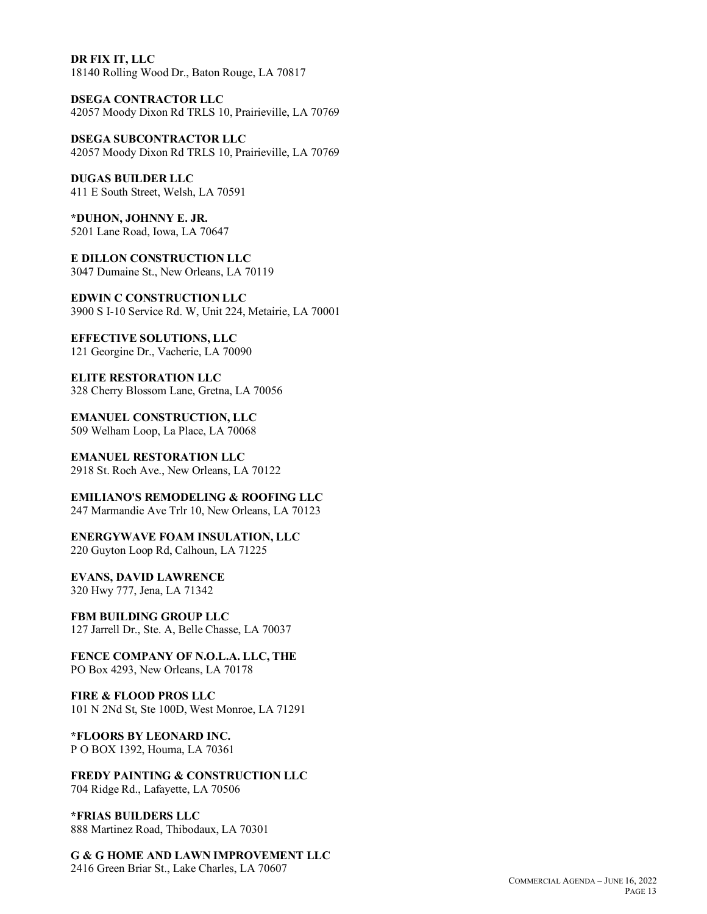**DR FIX IT, LLC** 18140 Rolling Wood Dr., Baton Rouge, LA 70817

**DSEGA CONTRACTOR LLC** 42057 Moody Dixon Rd TRLS 10, Prairieville, LA 70769

**DSEGA SUBCONTRACTOR LLC** 42057 Moody Dixon Rd TRLS 10, Prairieville, LA 70769

**DUGAS BUILDER LLC** 411 E South Street, Welsh, LA 70591

**\*DUHON, JOHNNY E. JR.** 5201 Lane Road, Iowa, LA 70647

**E DILLON CONSTRUCTION LLC** 3047 Dumaine St., New Orleans, LA 70119

**EDWIN C CONSTRUCTION LLC** 3900 S I-10 Service Rd. W, Unit 224, Metairie, LA 70001

**EFFECTIVE SOLUTIONS, LLC** 121 Georgine Dr., Vacherie, LA 70090

**ELITE RESTORATION LLC** 328 Cherry Blossom Lane, Gretna, LA 70056

**EMANUEL CONSTRUCTION, LLC** 509 Welham Loop, La Place, LA 70068

**EMANUEL RESTORATION LLC** 2918 St. Roch Ave., New Orleans, LA 70122

**EMILIANO'S REMODELING & ROOFING LLC** 247 Marmandie Ave Trlr 10, New Orleans, LA 70123

**ENERGYWAVE FOAM INSULATION, LLC** 220 Guyton Loop Rd, Calhoun, LA 71225

**EVANS, DAVID LAWRENCE** 320 Hwy 777, Jena, LA 71342

**FBM BUILDING GROUP LLC** 127 Jarrell Dr., Ste. A, Belle Chasse, LA 70037

**FENCE COMPANY OF N.O.L.A. LLC, THE** PO Box 4293, New Orleans, LA 70178

**FIRE & FLOOD PROS LLC** 101 N 2Nd St, Ste 100D, West Monroe, LA 71291

**\*FLOORS BY LEONARD INC.** P O BOX 1392, Houma, LA 70361

**FREDY PAINTING & CONSTRUCTION LLC** 704 Ridge Rd., Lafayette, LA 70506

**\*FRIAS BUILDERS LLC** 888 Martinez Road, Thibodaux, LA 70301

**G & G HOME AND LAWN IMPROVEMENT LLC** 2416 Green Briar St., Lake Charles, LA 70607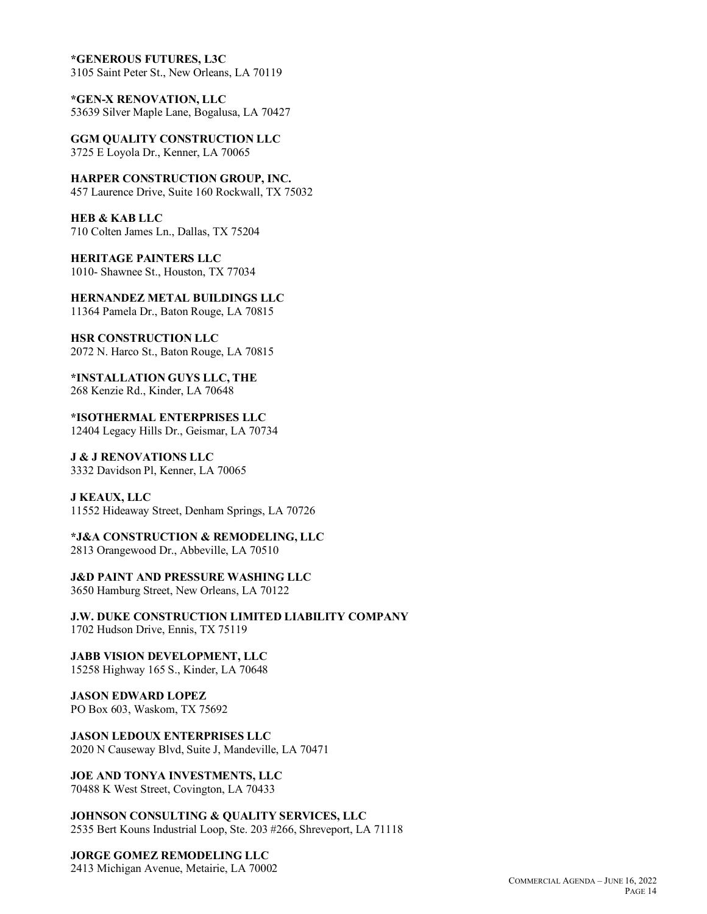**\*GENEROUS FUTURES, L3C** 3105 Saint Peter St., New Orleans, LA 70119

**\*GEN-X RENOVATION, LLC** 53639 Silver Maple Lane, Bogalusa, LA 70427

**GGM QUALITY CONSTRUCTION LLC** 3725 E Loyola Dr., Kenner, LA 70065

**HARPER CONSTRUCTION GROUP, INC.** 457 Laurence Drive, Suite 160 Rockwall, TX 75032

**HEB & KAB LLC** 710 Colten James Ln., Dallas, TX 75204

**HERITAGE PAINTERS LLC** 1010- Shawnee St., Houston, TX 77034

**HERNANDEZ METAL BUILDINGS LLC** 11364 Pamela Dr., Baton Rouge, LA 70815

**HSR CONSTRUCTION LLC** 2072 N. Harco St., Baton Rouge, LA 70815

**\*INSTALLATION GUYS LLC, THE** 268 Kenzie Rd., Kinder, LA 70648

**\*ISOTHERMAL ENTERPRISES LLC** 12404 Legacy Hills Dr., Geismar, LA 70734

**J & J RENOVATIONS LLC** 3332 Davidson Pl, Kenner, LA 70065

**J KEAUX, LLC** 11552 Hideaway Street, Denham Springs, LA 70726

**\*J&A CONSTRUCTION & REMODELING, LLC** 2813 Orangewood Dr., Abbeville, LA 70510

**J&D PAINT AND PRESSURE WASHING LLC** 3650 Hamburg Street, New Orleans, LA 70122

**J.W. DUKE CONSTRUCTION LIMITED LIABILITY COMPANY** 1702 Hudson Drive, Ennis, TX 75119

**JABB VISION DEVELOPMENT, LLC** 15258 Highway 165 S., Kinder, LA 70648

**JASON EDWARD LOPEZ** PO Box 603, Waskom, TX 75692

**JASON LEDOUX ENTERPRISES LLC** 2020 N Causeway Blvd, Suite J, Mandeville, LA 70471

**JOE AND TONYA INVESTMENTS, LLC** 70488 K West Street, Covington, LA 70433

**JOHNSON CONSULTING & QUALITY SERVICES, LLC** 2535 Bert Kouns Industrial Loop, Ste. 203 #266, Shreveport, LA 71118

**JORGE GOMEZ REMODELING LLC** 2413 Michigan Avenue, Metairie, LA 70002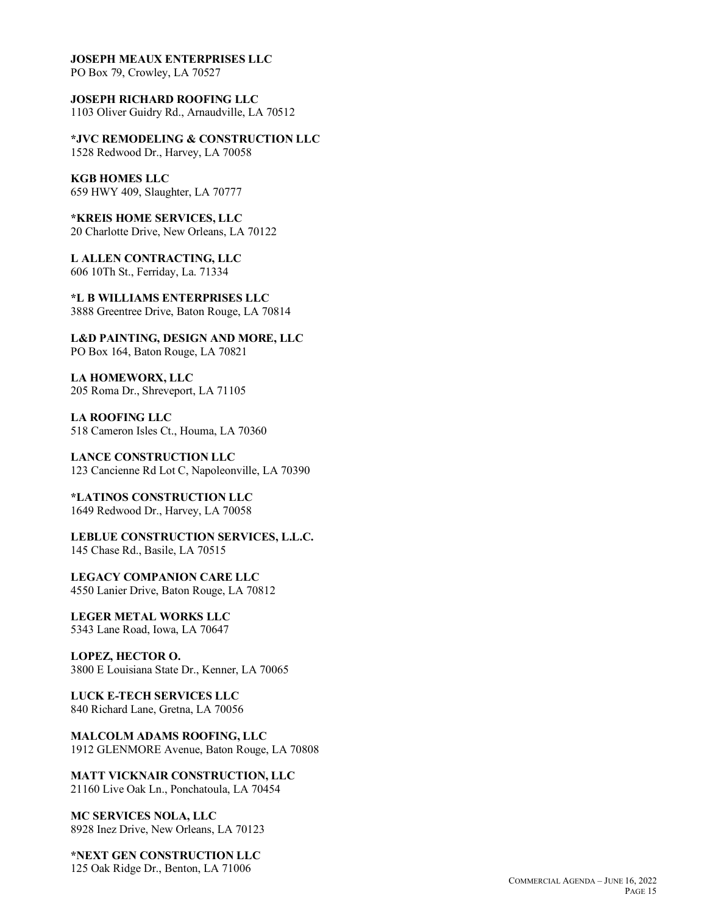#### **JOSEPH MEAUX ENTERPRISES LLC**

PO Box 79, Crowley, LA 70527

**JOSEPH RICHARD ROOFING LLC** 1103 Oliver Guidry Rd., Arnaudville, LA 70512

**\*JVC REMODELING & CONSTRUCTION LLC** 1528 Redwood Dr., Harvey, LA 70058

**KGB HOMES LLC** 659 HWY 409, Slaughter, LA 70777

**\*KREIS HOME SERVICES, LLC** 20 Charlotte Drive, New Orleans, LA 70122

**L ALLEN CONTRACTING, LLC** 606 10Th St., Ferriday, La. 71334

**\*L B WILLIAMS ENTERPRISES LLC** 3888 Greentree Drive, Baton Rouge, LA 70814

**L&D PAINTING, DESIGN AND MORE, LLC** PO Box 164, Baton Rouge, LA 70821

**LA HOMEWORX, LLC** 205 Roma Dr., Shreveport, LA 71105

**LA ROOFING LLC** 518 Cameron Isles Ct., Houma, LA 70360

**LANCE CONSTRUCTION LLC** 123 Cancienne Rd Lot C, Napoleonville, LA 70390

**\*LATINOS CONSTRUCTION LLC** 1649 Redwood Dr., Harvey, LA 70058

**LEBLUE CONSTRUCTION SERVICES, L.L.C.** 145 Chase Rd., Basile, LA 70515

**LEGACY COMPANION CARE LLC** 4550 Lanier Drive, Baton Rouge, LA 70812

**LEGER METAL WORKS LLC** 5343 Lane Road, Iowa, LA 70647

**LOPEZ, HECTOR O.** 3800 E Louisiana State Dr., Kenner, LA 70065

**LUCK E-TECH SERVICES LLC** 840 Richard Lane, Gretna, LA 70056

**MALCOLM ADAMS ROOFING, LLC** 1912 GLENMORE Avenue, Baton Rouge, LA 70808

**MATT VICKNAIR CONSTRUCTION, LLC** 21160 Live Oak Ln., Ponchatoula, LA 70454

**MC SERVICES NOLA, LLC** 8928 Inez Drive, New Orleans, LA 70123

**\*NEXT GEN CONSTRUCTION LLC** 125 Oak Ridge Dr., Benton, LA 71006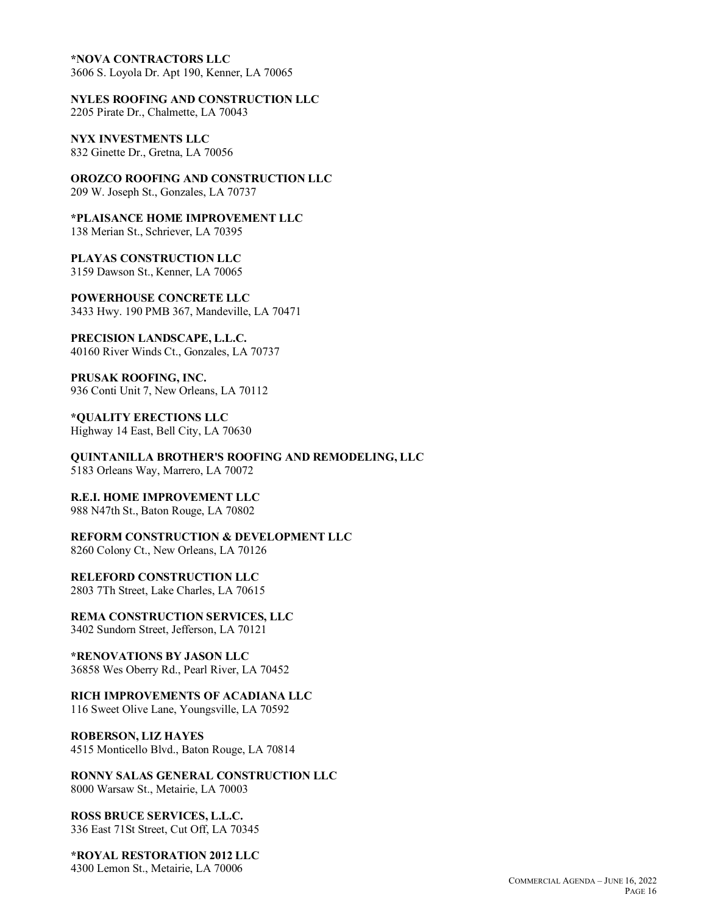#### **\*NOVA CONTRACTORS LLC**

3606 S. Loyola Dr. Apt 190, Kenner, LA 70065

**NYLES ROOFING AND CONSTRUCTION LLC**

2205 Pirate Dr., Chalmette, LA 70043

**NYX INVESTMENTS LLC** 832 Ginette Dr., Gretna, LA 70056

**OROZCO ROOFING AND CONSTRUCTION LLC** 209 W. Joseph St., Gonzales, LA 70737

**\*PLAISANCE HOME IMPROVEMENT LLC** 138 Merian St., Schriever, LA 70395

**PLAYAS CONSTRUCTION LLC** 3159 Dawson St., Kenner, LA 70065

**POWERHOUSE CONCRETE LLC** 3433 Hwy. 190 PMB 367, Mandeville, LA 70471

**PRECISION LANDSCAPE, L.L.C.** 40160 River Winds Ct., Gonzales, LA 70737

**PRUSAK ROOFING, INC.** 936 Conti Unit 7, New Orleans, LA 70112

**\*QUALITY ERECTIONS LLC** Highway 14 East, Bell City, LA 70630

**QUINTANILLA BROTHER'S ROOFING AND REMODELING, LLC** 5183 Orleans Way, Marrero, LA 70072

**R.E.I. HOME IMPROVEMENT LLC** 988 N47th St., Baton Rouge, LA 70802

**REFORM CONSTRUCTION & DEVELOPMENT LLC** 8260 Colony Ct., New Orleans, LA 70126

**RELEFORD CONSTRUCTION LLC** 2803 7Th Street, Lake Charles, LA 70615

**REMA CONSTRUCTION SERVICES, LLC** 3402 Sundorn Street, Jefferson, LA 70121

**\*RENOVATIONS BY JASON LLC** 36858 Wes Oberry Rd., Pearl River, LA 70452

**RICH IMPROVEMENTS OF ACADIANA LLC**

116 Sweet Olive Lane, Youngsville, LA 70592

**ROBERSON, LIZ HAYES** 4515 Monticello Blvd., Baton Rouge, LA 70814

**RONNY SALAS GENERAL CONSTRUCTION LLC** 8000 Warsaw St., Metairie, LA 70003

**ROSS BRUCE SERVICES, L.L.C.** 336 East 71St Street, Cut Off, LA 70345

**\*ROYAL RESTORATION 2012 LLC** 4300 Lemon St., Metairie, LA 70006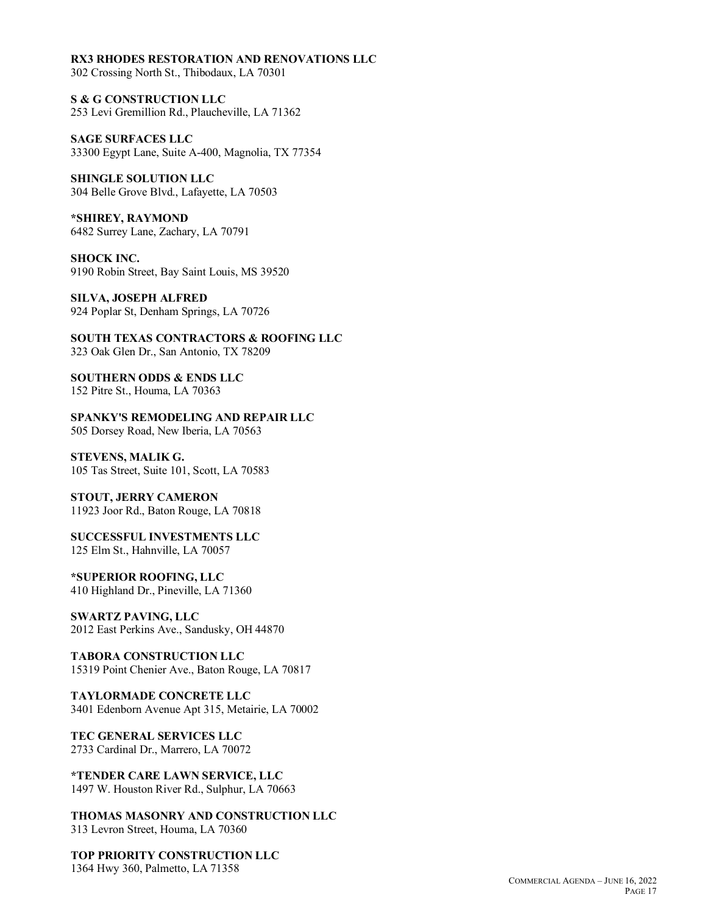#### **RX3 RHODES RESTORATION AND RENOVATIONS LLC**

302 Crossing North St., Thibodaux, LA 70301

**S & G CONSTRUCTION LLC** 253 Levi Gremillion Rd., Plaucheville, LA 71362

**SAGE SURFACES LLC** 33300 Egypt Lane, Suite A-400, Magnolia, TX 77354

**SHINGLE SOLUTION LLC** 304 Belle Grove Blvd., Lafayette, LA 70503

**\*SHIREY, RAYMOND** 6482 Surrey Lane, Zachary, LA 70791

**SHOCK INC.** 9190 Robin Street, Bay Saint Louis, MS 39520

**SILVA, JOSEPH ALFRED** 924 Poplar St, Denham Springs, LA 70726

**SOUTH TEXAS CONTRACTORS & ROOFING LLC** 323 Oak Glen Dr., San Antonio, TX 78209

**SOUTHERN ODDS & ENDS LLC** 152 Pitre St., Houma, LA 70363

**SPANKY'S REMODELING AND REPAIR LLC** 505 Dorsey Road, New Iberia, LA 70563

**STEVENS, MALIK G.** 105 Tas Street, Suite 101, Scott, LA 70583

**STOUT, JERRY CAMERON** 11923 Joor Rd., Baton Rouge, LA 70818

**SUCCESSFUL INVESTMENTS LLC** 125 Elm St., Hahnville, LA 70057

**\*SUPERIOR ROOFING, LLC** 410 Highland Dr., Pineville, LA 71360

**SWARTZ PAVING, LLC** 2012 East Perkins Ave., Sandusky, OH 44870

**TABORA CONSTRUCTION LLC** 15319 Point Chenier Ave., Baton Rouge, LA 70817

**TAYLORMADE CONCRETE LLC** 3401 Edenborn Avenue Apt 315, Metairie, LA 70002

**TEC GENERAL SERVICES LLC** 2733 Cardinal Dr., Marrero, LA 70072

**\*TENDER CARE LAWN SERVICE, LLC** 1497 W. Houston River Rd., Sulphur, LA 70663

**THOMAS MASONRY AND CONSTRUCTION LLC** 313 Levron Street, Houma, LA 70360

**TOP PRIORITY CONSTRUCTION LLC** 1364 Hwy 360, Palmetto, LA 71358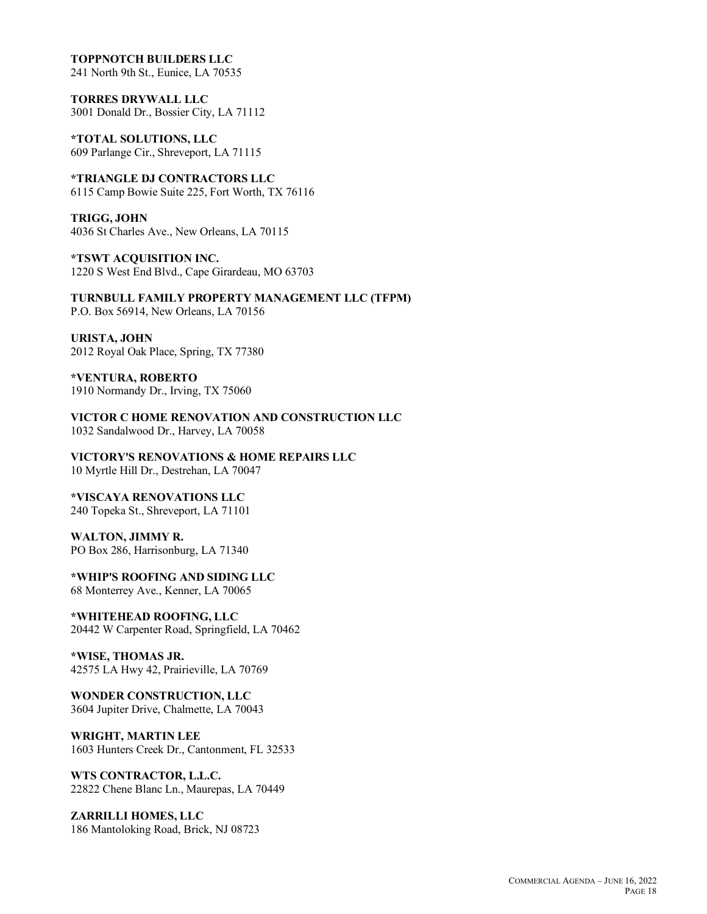#### **TOPPNOTCH BUILDERS LLC**

241 North 9th St., Eunice, LA 70535

**TORRES DRYWALL LLC** 3001 Donald Dr., Bossier City, LA 71112

**\*TOTAL SOLUTIONS, LLC** 609 Parlange Cir., Shreveport, LA 71115

**\*TRIANGLE DJ CONTRACTORS LLC** 6115 Camp Bowie Suite 225, Fort Worth, TX 76116

**TRIGG, JOHN** 4036 St Charles Ave., New Orleans, LA 70115

**\*TSWT ACQUISITION INC.** 1220 S West End Blvd., Cape Girardeau, MO 63703

**TURNBULL FAMILY PROPERTY MANAGEMENT LLC (TFPM)** P.O. Box 56914, New Orleans, LA 70156

**URISTA, JOHN** 2012 Royal Oak Place, Spring, TX 77380

**\*VENTURA, ROBERTO** 1910 Normandy Dr., Irving, TX 75060

**VICTOR C HOME RENOVATION AND CONSTRUCTION LLC** 1032 Sandalwood Dr., Harvey, LA 70058

**VICTORY'S RENOVATIONS & HOME REPAIRS LLC** 10 Myrtle Hill Dr., Destrehan, LA 70047

**\*VISCAYA RENOVATIONS LLC** 240 Topeka St., Shreveport, LA 71101

**WALTON, JIMMY R.** PO Box 286, Harrisonburg, LA 71340

**\*WHIP'S ROOFING AND SIDING LLC** 68 Monterrey Ave., Kenner, LA 70065

**\*WHITEHEAD ROOFING, LLC** 20442 W Carpenter Road, Springfield, LA 70462

**\*WISE, THOMAS JR.** 42575 LA Hwy 42, Prairieville, LA 70769

**WONDER CONSTRUCTION, LLC** 3604 Jupiter Drive, Chalmette, LA 70043

**WRIGHT, MARTIN LEE** 1603 Hunters Creek Dr., Cantonment, FL 32533

**WTS CONTRACTOR, L.L.C.** 22822 Chene Blanc Ln., Maurepas, LA 70449

**ZARRILLI HOMES, LLC** 186 Mantoloking Road, Brick, NJ 08723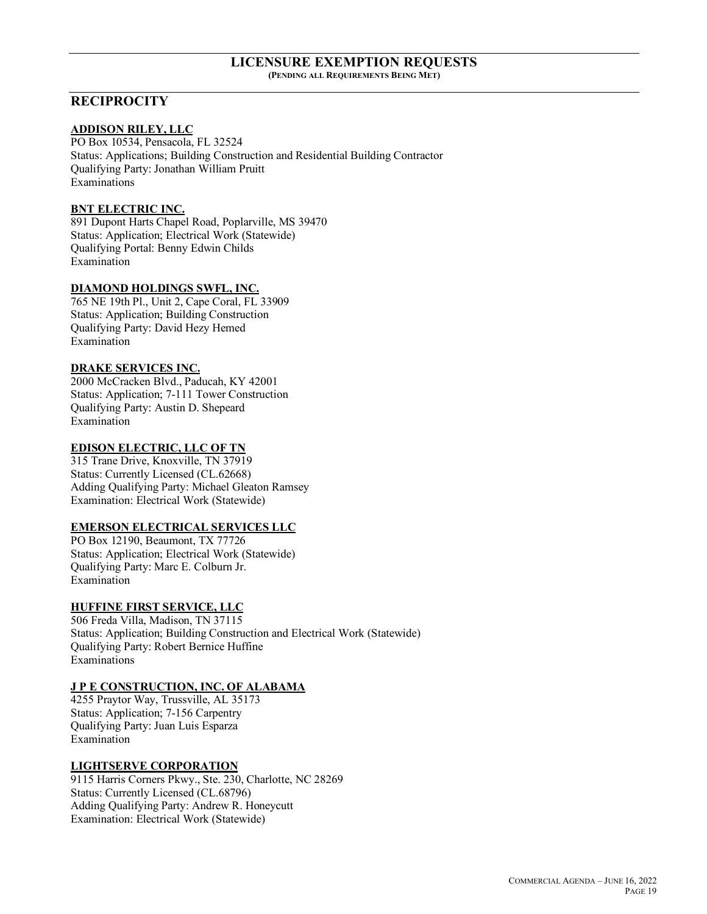#### **LICENSURE EXEMPTION REQUESTS (PENDING ALL REQUIREMENTS BEING MET)**

## **RECIPROCITY**

### **ADDISON RILEY, LLC**

PO Box 10534, Pensacola, FL 32524 Status: Applications; Building Construction and Residential Building Contractor Qualifying Party: Jonathan William Pruitt Examinations

## **BNT ELECTRIC INC.**

891 Dupont Harts Chapel Road, Poplarville, MS 39470 Status: Application; Electrical Work (Statewide) Qualifying Portal: Benny Edwin Childs Examination

## **DIAMOND HOLDINGS SWFL, INC.**

765 NE 19th Pl., Unit 2, Cape Coral, FL 33909 Status: Application; Building Construction Qualifying Party: David Hezy Hemed Examination

## **DRAKE SERVICES INC.**

2000 McCracken Blvd., Paducah, KY 42001 Status: Application; 7-111 Tower Construction Qualifying Party: Austin D. Shepeard Examination

## **EDISON ELECTRIC, LLC OF TN**

315 Trane Drive, Knoxville, TN 37919 Status: Currently Licensed (CL.62668) Adding Qualifying Party: Michael Gleaton Ramsey Examination: Electrical Work (Statewide)

### **EMERSON ELECTRICAL SERVICES LLC**

PO Box 12190, Beaumont, TX 77726 Status: Application; Electrical Work (Statewide) Qualifying Party: Marc E. Colburn Jr. Examination

## **HUFFINE FIRST SERVICE, LLC**

506 Freda Villa, Madison, TN 37115 Status: Application; Building Construction and Electrical Work (Statewide) Qualifying Party: Robert Bernice Huffine Examinations

## **J P E CONSTRUCTION, INC. OF ALABAMA**

4255 Praytor Way, Trussville, AL 35173 Status: Application; 7-156 Carpentry Qualifying Party: Juan Luis Esparza Examination

## **LIGHTSERVE CORPORATION**

9115 Harris Corners Pkwy., Ste. 230, Charlotte, NC 28269 Status: Currently Licensed (CL.68796) Adding Qualifying Party: Andrew R. Honeycutt Examination: Electrical Work (Statewide)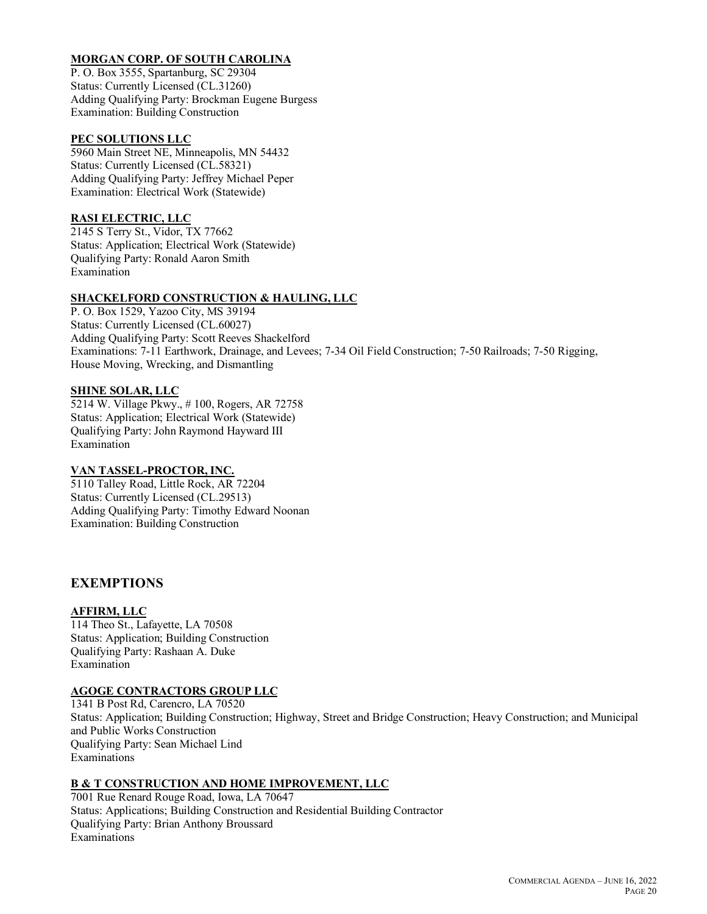## **MORGAN CORP. OF SOUTH CAROLINA**

P. O. Box 3555, Spartanburg, SC 29304 Status: Currently Licensed (CL.31260) Adding Qualifying Party: Brockman Eugene Burgess Examination: Building Construction

#### **PEC SOLUTIONS LLC**

5960 Main Street NE, Minneapolis, MN 54432 Status: Currently Licensed (CL.58321) Adding Qualifying Party: Jeffrey Michael Peper Examination: Electrical Work (Statewide)

## **RASI ELECTRIC, LLC**

2145 S Terry St., Vidor, TX 77662 Status: Application; Electrical Work (Statewide) Qualifying Party: Ronald Aaron Smith Examination

## **SHACKELFORD CONSTRUCTION & HAULING, LLC**

P. O. Box 1529, Yazoo City, MS 39194 Status: Currently Licensed (CL.60027) Adding Qualifying Party: Scott Reeves Shackelford Examinations: 7-11 Earthwork, Drainage, and Levees; 7-34 Oil Field Construction; 7-50 Railroads; 7-50 Rigging, House Moving, Wrecking, and Dismantling

#### **SHINE SOLAR, LLC**

5214 W. Village Pkwy., # 100, Rogers, AR 72758 Status: Application; Electrical Work (Statewide) Qualifying Party: John Raymond Hayward III Examination

#### **VAN TASSEL-PROCTOR, INC.**

5110 Talley Road, Little Rock, AR 72204 Status: Currently Licensed (CL.29513) Adding Qualifying Party: Timothy Edward Noonan Examination: Building Construction

## **EXEMPTIONS**

#### **AFFIRM, LLC**

114 Theo St., Lafayette, LA 70508 Status: Application; Building Construction Qualifying Party: Rashaan A. Duke Examination

## **AGOGE CONTRACTORS GROUP LLC**

1341 B Post Rd, Carencro, LA 70520 Status: Application; Building Construction; Highway, Street and Bridge Construction; Heavy Construction; and Municipal and Public Works Construction Qualifying Party: Sean Michael Lind Examinations

## **B & T CONSTRUCTION AND HOME IMPROVEMENT, LLC**

7001 Rue Renard Rouge Road, Iowa, LA 70647 Status: Applications; Building Construction and Residential Building Contractor Qualifying Party: Brian Anthony Broussard Examinations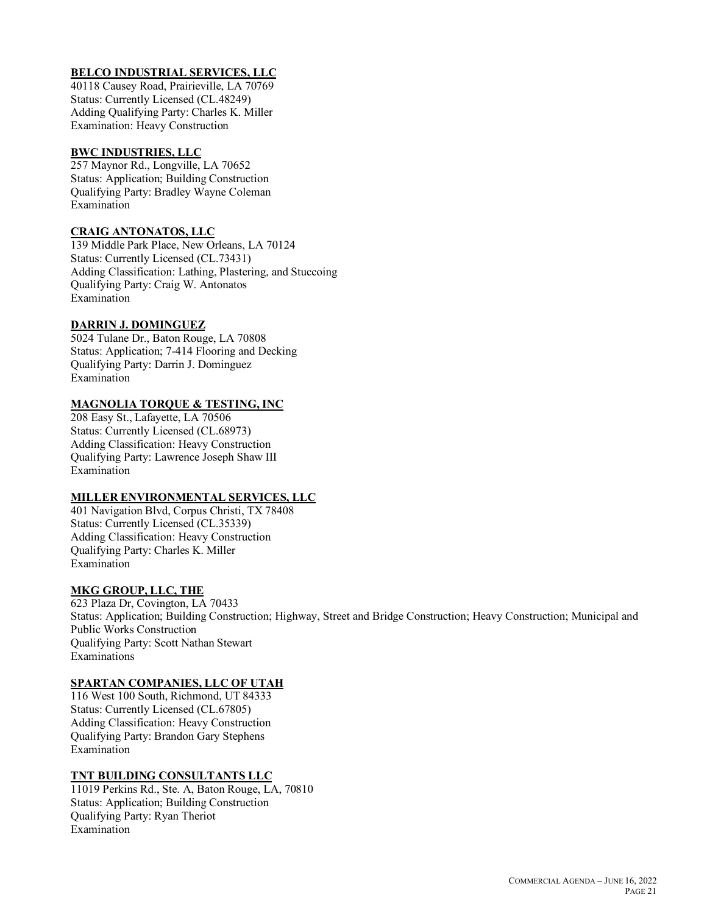## **BELCO INDUSTRIAL SERVICES, LLC**

40118 Causey Road, Prairieville, LA 70769 Status: Currently Licensed (CL.48249) Adding Qualifying Party: Charles K. Miller Examination: Heavy Construction

#### **BWC INDUSTRIES, LLC**

257 Maynor Rd., Longville, LA 70652 Status: Application; Building Construction Qualifying Party: Bradley Wayne Coleman Examination

#### **CRAIG ANTONATOS, LLC**

139 Middle Park Place, New Orleans, LA 70124 Status: Currently Licensed (CL.73431) Adding Classification: Lathing, Plastering, and Stuccoing Qualifying Party: Craig W. Antonatos Examination

## **DARRIN J. DOMINGUEZ**

5024 Tulane Dr., Baton Rouge, LA 70808 Status: Application; 7-414 Flooring and Decking Qualifying Party: Darrin J. Dominguez Examination

## **MAGNOLIA TORQUE & TESTING, INC**

208 Easy St., Lafayette, LA 70506 Status: Currently Licensed (CL.68973) Adding Classification: Heavy Construction Qualifying Party: Lawrence Joseph Shaw III Examination

### **MILLER ENVIRONMENTAL SERVICES, LLC**

401 Navigation Blvd, Corpus Christi, TX 78408 Status: Currently Licensed (CL.35339) Adding Classification: Heavy Construction Qualifying Party: Charles K. Miller Examination

## **MKG GROUP, LLC, THE**

623 Plaza Dr, Covington, LA 70433 Status: Application; Building Construction; Highway, Street and Bridge Construction; Heavy Construction; Municipal and Public Works Construction Qualifying Party: Scott Nathan Stewart Examinations

#### **SPARTAN COMPANIES, LLC OF UTAH**

116 West 100 South, Richmond, UT 84333 Status: Currently Licensed (CL.67805) Adding Classification: Heavy Construction Qualifying Party: Brandon Gary Stephens Examination

#### **TNT BUILDING CONSULTANTS LLC**

11019 Perkins Rd., Ste. A, Baton Rouge, LA, 70810 Status: Application; Building Construction Qualifying Party: Ryan Theriot Examination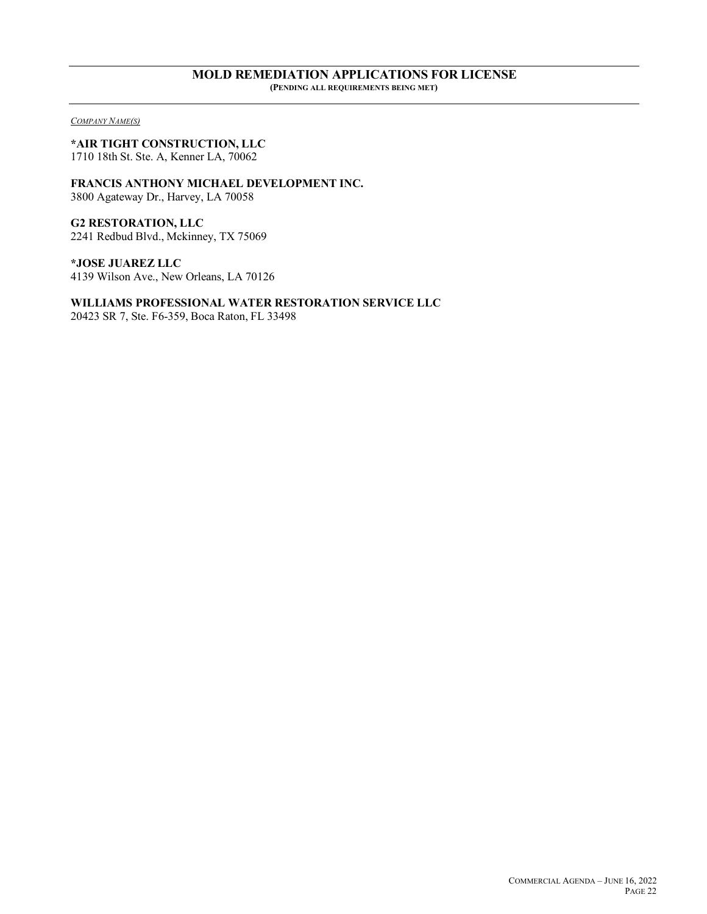# **MOLD REMEDIATION APPLICATIONS FOR LICENSE**

**(PENDING ALL REQUIREMENTS BEING MET)**

*COMPANY NAME(S)*

## **\*AIR TIGHT CONSTRUCTION, LLC**

1710 18th St. Ste. A, Kenner LA, 70062

#### **FRANCIS ANTHONY MICHAEL DEVELOPMENT INC.** 3800 Agateway Dr., Harvey, LA 70058

**G2 RESTORATION, LLC** 2241 Redbud Blvd., Mckinney, TX 75069

**\*JOSE JUAREZ LLC** 4139 Wilson Ave., New Orleans, LA 70126

## **WILLIAMS PROFESSIONAL WATER RESTORATION SERVICE LLC**

20423 SR 7, Ste. F6-359, Boca Raton, FL 33498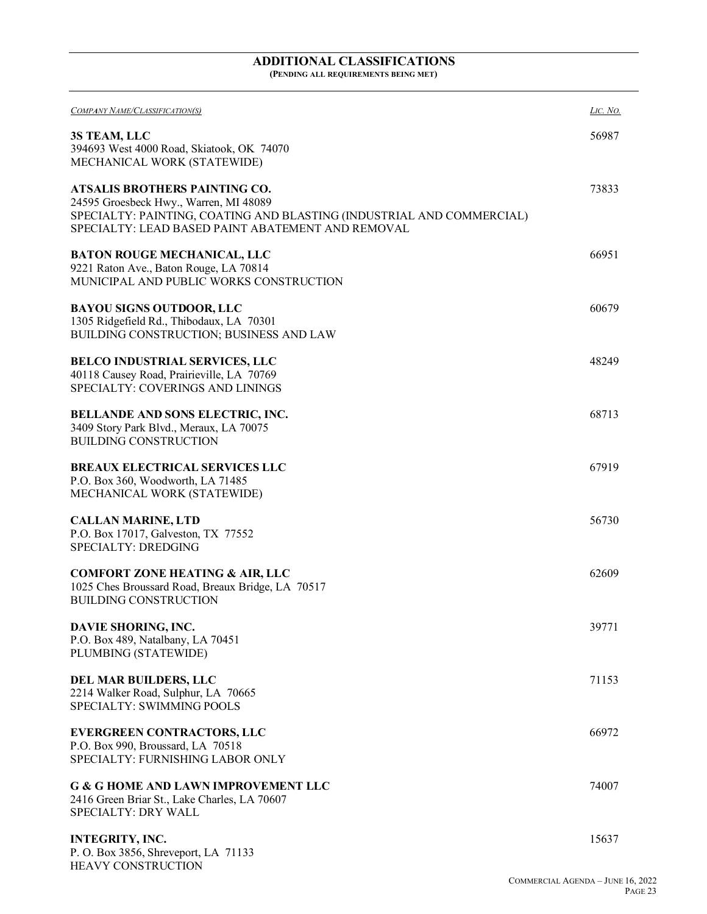# **ADDITIONAL CLASSIFICATIONS**

**(PENDING ALL REQUIREMENTS BEING MET)**

| COMPANY NAME/CLASSIFICATION(S)                                                                                                                                                                               | LIC. NO. |
|--------------------------------------------------------------------------------------------------------------------------------------------------------------------------------------------------------------|----------|
| 3S TEAM, LLC<br>394693 West 4000 Road, Skiatook, OK 74070<br>MECHANICAL WORK (STATEWIDE)                                                                                                                     | 56987    |
| <b>ATSALIS BROTHERS PAINTING CO.</b><br>24595 Groesbeck Hwy., Warren, MI 48089<br>SPECIALTY: PAINTING, COATING AND BLASTING (INDUSTRIAL AND COMMERCIAL)<br>SPECIALTY: LEAD BASED PAINT ABATEMENT AND REMOVAL | 73833    |
| <b>BATON ROUGE MECHANICAL, LLC</b><br>9221 Raton Ave., Baton Rouge, LA 70814<br>MUNICIPAL AND PUBLIC WORKS CONSTRUCTION                                                                                      | 66951    |
| <b>BAYOU SIGNS OUTDOOR, LLC</b><br>1305 Ridgefield Rd., Thibodaux, LA 70301<br>BUILDING CONSTRUCTION; BUSINESS AND LAW                                                                                       | 60679    |
| <b>BELCO INDUSTRIAL SERVICES, LLC</b><br>40118 Causey Road, Prairieville, LA 70769<br>SPECIALTY: COVERINGS AND LININGS                                                                                       | 48249    |
| <b>BELLANDE AND SONS ELECTRIC, INC.</b><br>3409 Story Park Blvd., Meraux, LA 70075<br><b>BUILDING CONSTRUCTION</b>                                                                                           | 68713    |
| <b>BREAUX ELECTRICAL SERVICES LLC</b><br>P.O. Box 360, Woodworth, LA 71485<br>MECHANICAL WORK (STATEWIDE)                                                                                                    | 67919    |
| <b>CALLAN MARINE, LTD</b><br>P.O. Box 17017, Galveston, TX 77552<br><b>SPECIALTY: DREDGING</b>                                                                                                               | 56730    |
| <b>COMFORT ZONE HEATING &amp; AIR, LLC</b><br>1025 Ches Broussard Road, Breaux Bridge, LA 70517<br><b>BUILDING CONSTRUCTION</b>                                                                              | 62609    |
| DAVIE SHORING, INC.<br>P.O. Box 489, Natalbany, LA 70451<br>PLUMBING (STATEWIDE)                                                                                                                             | 39771    |
| DEL MAR BUILDERS, LLC<br>2214 Walker Road, Sulphur, LA 70665<br>SPECIALTY: SWIMMING POOLS                                                                                                                    | 71153    |
| <b>EVERGREEN CONTRACTORS, LLC</b><br>P.O. Box 990, Broussard, LA 70518<br>SPECIALTY: FURNISHING LABOR ONLY                                                                                                   | 66972    |
| <b>G &amp; G HOME AND LAWN IMPROVEMENT LLC</b><br>2416 Green Briar St., Lake Charles, LA 70607<br><b>SPECIALTY: DRY WALL</b>                                                                                 | 74007    |
| <b>INTEGRITY, INC.</b><br>P. O. Box 3856, Shreveport, LA 71133                                                                                                                                               | 15637    |

HEAVY CONSTRUCTION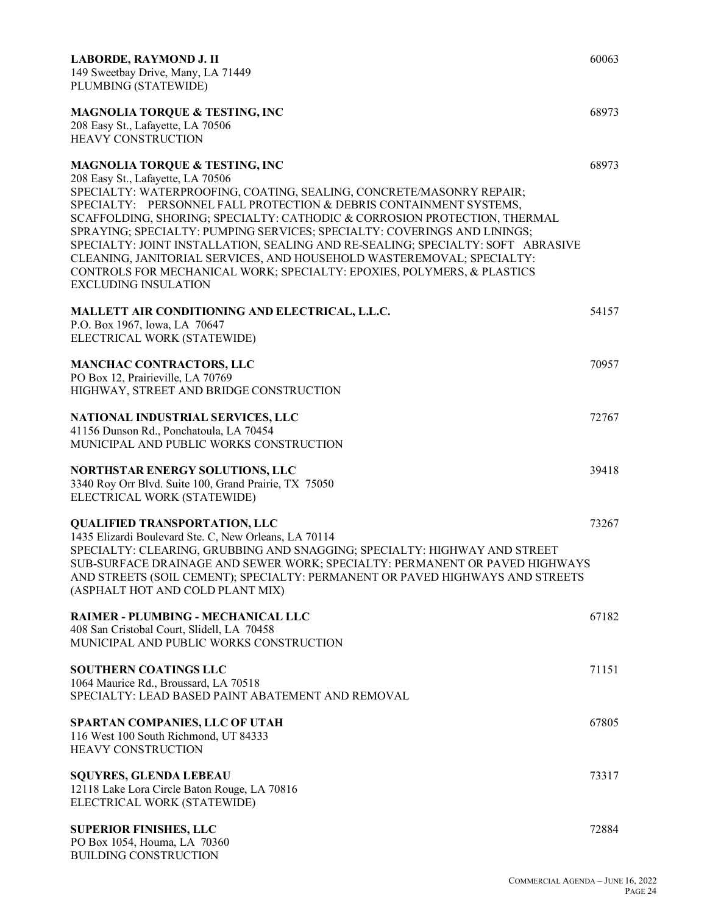| LABORDE, RAYMOND J. II<br>149 Sweetbay Drive, Many, LA 71449<br>PLUMBING (STATEWIDE)                                                                                                                                                                                                                                                                                                                                                                                                                                                                                                                                                                       | 60063 |
|------------------------------------------------------------------------------------------------------------------------------------------------------------------------------------------------------------------------------------------------------------------------------------------------------------------------------------------------------------------------------------------------------------------------------------------------------------------------------------------------------------------------------------------------------------------------------------------------------------------------------------------------------------|-------|
| <b>MAGNOLIA TORQUE &amp; TESTING, INC</b><br>208 Easy St., Lafayette, LA 70506<br><b>HEAVY CONSTRUCTION</b>                                                                                                                                                                                                                                                                                                                                                                                                                                                                                                                                                | 68973 |
| <b>MAGNOLIA TORQUE &amp; TESTING, INC</b><br>208 Easy St., Lafayette, LA 70506<br>SPECIALTY: WATERPROOFING, COATING, SEALING, CONCRETE/MASONRY REPAIR;<br>SPECIALTY: PERSONNEL FALL PROTECTION & DEBRIS CONTAINMENT SYSTEMS,<br>SCAFFOLDING, SHORING; SPECIALTY: CATHODIC & CORROSION PROTECTION, THERMAL<br>SPRAYING; SPECIALTY: PUMPING SERVICES; SPECIALTY: COVERINGS AND LININGS;<br>SPECIALTY: JOINT INSTALLATION, SEALING AND RE-SEALING; SPECIALTY: SOFT ABRASIVE<br>CLEANING, JANITORIAL SERVICES, AND HOUSEHOLD WASTEREMOVAL; SPECIALTY:<br>CONTROLS FOR MECHANICAL WORK; SPECIALTY: EPOXIES, POLYMERS, & PLASTICS<br><b>EXCLUDING INSULATION</b> | 68973 |
| MALLETT AIR CONDITIONING AND ELECTRICAL, L.L.C.<br>P.O. Box 1967, Iowa, LA 70647<br>ELECTRICAL WORK (STATEWIDE)                                                                                                                                                                                                                                                                                                                                                                                                                                                                                                                                            | 54157 |
| <b>MANCHAC CONTRACTORS, LLC</b><br>PO Box 12, Prairieville, LA 70769<br>HIGHWAY, STREET AND BRIDGE CONSTRUCTION                                                                                                                                                                                                                                                                                                                                                                                                                                                                                                                                            | 70957 |
| NATIONAL INDUSTRIAL SERVICES, LLC<br>41156 Dunson Rd., Ponchatoula, LA 70454<br>MUNICIPAL AND PUBLIC WORKS CONSTRUCTION                                                                                                                                                                                                                                                                                                                                                                                                                                                                                                                                    | 72767 |
| NORTHSTAR ENERGY SOLUTIONS, LLC<br>3340 Roy Orr Blvd. Suite 100, Grand Prairie, TX 75050<br>ELECTRICAL WORK (STATEWIDE)                                                                                                                                                                                                                                                                                                                                                                                                                                                                                                                                    | 39418 |
| <b>QUALIFIED TRANSPORTATION, LLC</b><br>1435 Elizardi Boulevard Ste. C, New Orleans, LA 70114<br>SPECIALTY: CLEARING, GRUBBING AND SNAGGING; SPECIALTY: HIGHWAY AND STREET<br>SUB-SURFACE DRAINAGE AND SEWER WORK; SPECIALTY: PERMANENT OR PAVED HIGHWAYS<br>AND STREETS (SOIL CEMENT); SPECIALTY: PERMANENT OR PAVED HIGHWAYS AND STREETS<br>(ASPHALT HOT AND COLD PLANT MIX)                                                                                                                                                                                                                                                                             | 73267 |
| RAIMER - PLUMBING - MECHANICAL LLC<br>408 San Cristobal Court, Slidell, LA 70458<br>MUNICIPAL AND PUBLIC WORKS CONSTRUCTION                                                                                                                                                                                                                                                                                                                                                                                                                                                                                                                                | 67182 |
| <b>SOUTHERN COATINGS LLC</b><br>1064 Maurice Rd., Broussard, LA 70518<br>SPECIALTY: LEAD BASED PAINT ABATEMENT AND REMOVAL                                                                                                                                                                                                                                                                                                                                                                                                                                                                                                                                 | 71151 |
| SPARTAN COMPANIES, LLC OF UTAH<br>116 West 100 South Richmond, UT 84333<br>HEAVY CONSTRUCTION                                                                                                                                                                                                                                                                                                                                                                                                                                                                                                                                                              | 67805 |
| <b>SQUYRES, GLENDA LEBEAU</b><br>12118 Lake Lora Circle Baton Rouge, LA 70816<br>ELECTRICAL WORK (STATEWIDE)                                                                                                                                                                                                                                                                                                                                                                                                                                                                                                                                               | 73317 |
| <b>SUPERIOR FINISHES, LLC</b><br>PO Box 1054, Houma, LA 70360<br><b>BUILDING CONSTRUCTION</b>                                                                                                                                                                                                                                                                                                                                                                                                                                                                                                                                                              | 72884 |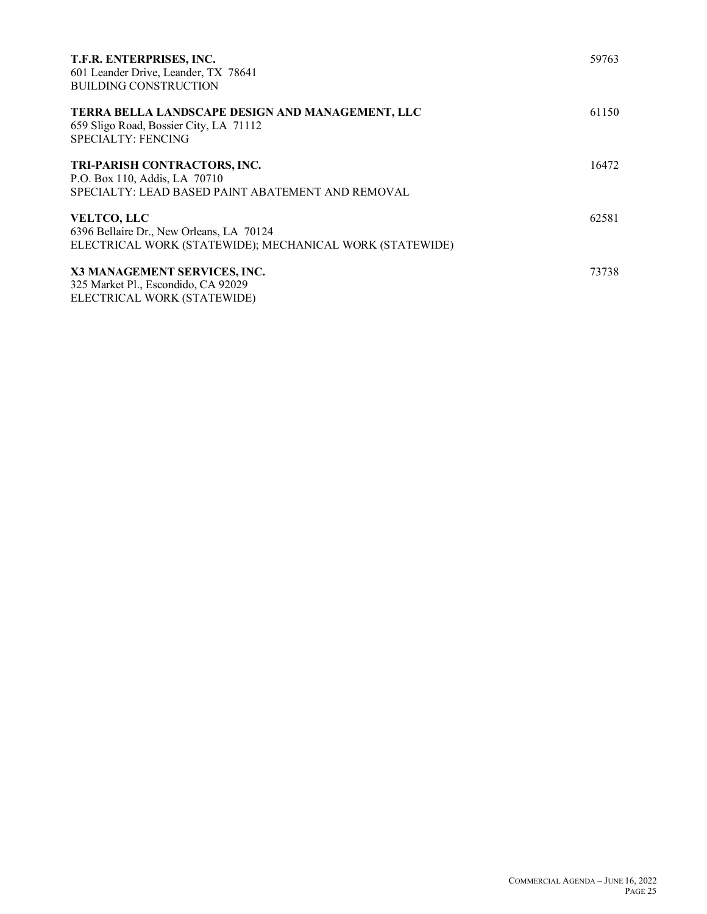| T.F.R. ENTERPRISES, INC.<br>601 Leander Drive, Leander, TX 78641<br><b>BUILDING CONSTRUCTION</b>                               | 59763 |
|--------------------------------------------------------------------------------------------------------------------------------|-------|
| <b>TERRA BELLA LANDSCAPE DESIGN AND MANAGEMENT, LLC</b><br>659 Sligo Road, Bossier City, LA 71112<br><b>SPECIALTY: FENCING</b> | 61150 |
| TRI-PARISH CONTRACTORS, INC.<br>P.O. Box 110, Addis, LA 70710<br>SPECIALTY: LEAD BASED PAINT ABATEMENT AND REMOVAL             | 16472 |
| <b>VELTCO, LLC</b><br>6396 Bellaire Dr., New Orleans, LA 70124<br>ELECTRICAL WORK (STATEWIDE); MECHANICAL WORK (STATEWIDE)     | 62581 |
| X3 MANAGEMENT SERVICES, INC.<br>325 Market Pl., Escondido, CA 92029<br>ELECTRICAL WORK (STATEWIDE)                             | 73738 |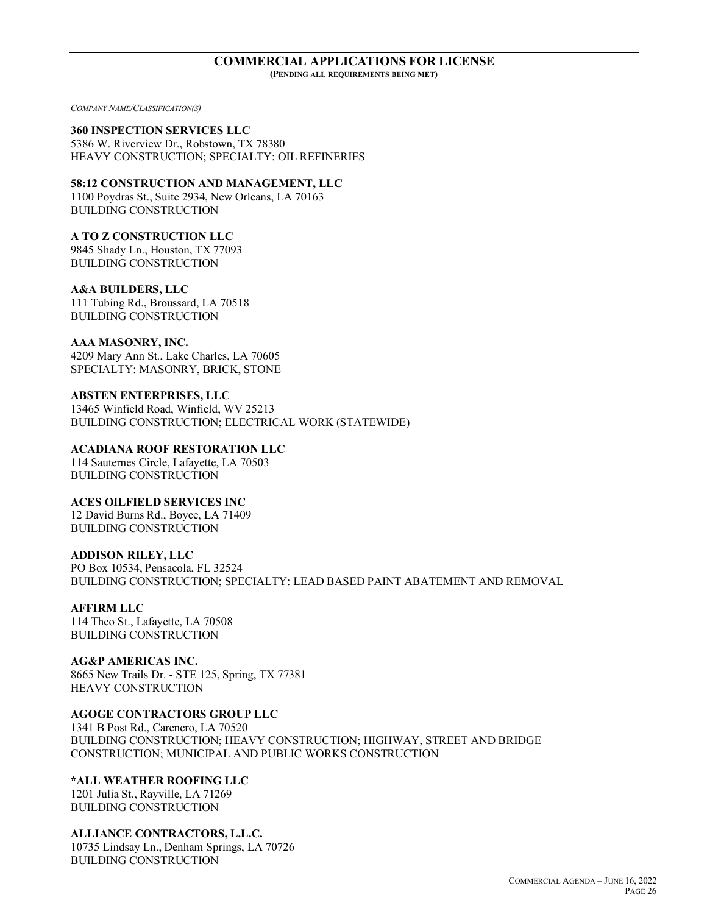#### **COMMERCIAL APPLICATIONS FOR LICENSE (PENDING ALL REQUIREMENTS BEING MET)**

*COMPANY NAME/CLASSIFICATION(S)*

**360 INSPECTION SERVICES LLC** 5386 W. Riverview Dr., Robstown, TX 78380 HEAVY CONSTRUCTION; SPECIALTY: OIL REFINERIES

**58:12 CONSTRUCTION AND MANAGEMENT, LLC**

1100 Poydras St., Suite 2934, New Orleans, LA 70163 BUILDING CONSTRUCTION

**A TO Z CONSTRUCTION LLC** 9845 Shady Ln., Houston, TX 77093

BUILDING CONSTRUCTION

**A&A BUILDERS, LLC** 111 Tubing Rd., Broussard, LA 70518 BUILDING CONSTRUCTION

**AAA MASONRY, INC.** 4209 Mary Ann St., Lake Charles, LA 70605 SPECIALTY: MASONRY, BRICK, STONE

**ABSTEN ENTERPRISES, LLC** 13465 Winfield Road, Winfield, WV 25213 BUILDING CONSTRUCTION; ELECTRICAL WORK (STATEWIDE)

**ACADIANA ROOF RESTORATION LLC**

114 Sauternes Circle, Lafayette, LA 70503 BUILDING CONSTRUCTION

**ACES OILFIELD SERVICES INC** 12 David Burns Rd., Boyce, LA 71409 BUILDING CONSTRUCTION

**ADDISON RILEY, LLC**

PO Box 10534, Pensacola, FL 32524 BUILDING CONSTRUCTION; SPECIALTY: LEAD BASED PAINT ABATEMENT AND REMOVAL

**AFFIRM LLC**

114 Theo St., Lafayette, LA 70508 BUILDING CONSTRUCTION

**AG&P AMERICAS INC.** 8665 New Trails Dr. - STE 125, Spring, TX 77381 HEAVY CONSTRUCTION

**AGOGE CONTRACTORS GROUP LLC**

1341 B Post Rd., Carencro, LA 70520 BUILDING CONSTRUCTION; HEAVY CONSTRUCTION; HIGHWAY, STREET AND BRIDGE CONSTRUCTION; MUNICIPAL AND PUBLIC WORKS CONSTRUCTION

**\*ALL WEATHER ROOFING LLC**

1201 Julia St., Rayville, LA 71269 BUILDING CONSTRUCTION

**ALLIANCE CONTRACTORS, L.L.C.**

10735 Lindsay Ln., Denham Springs, LA 70726 BUILDING CONSTRUCTION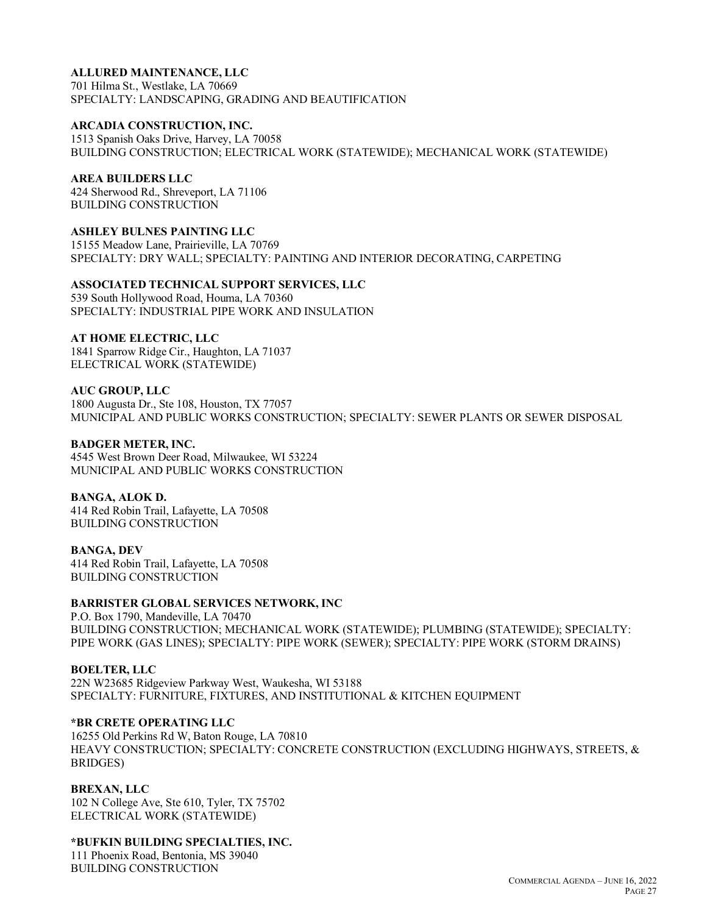## **ALLURED MAINTENANCE, LLC**

701 Hilma St., Westlake, LA 70669 SPECIALTY: LANDSCAPING, GRADING AND BEAUTIFICATION

#### **ARCADIA CONSTRUCTION, INC.**

1513 Spanish Oaks Drive, Harvey, LA 70058 BUILDING CONSTRUCTION; ELECTRICAL WORK (STATEWIDE); MECHANICAL WORK (STATEWIDE)

#### **AREA BUILDERS LLC**

424 Sherwood Rd., Shreveport, LA 71106 BUILDING CONSTRUCTION

## **ASHLEY BULNES PAINTING LLC**

15155 Meadow Lane, Prairieville, LA 70769 SPECIALTY: DRY WALL; SPECIALTY: PAINTING AND INTERIOR DECORATING, CARPETING

## **ASSOCIATED TECHNICAL SUPPORT SERVICES, LLC**

539 South Hollywood Road, Houma, LA 70360 SPECIALTY: INDUSTRIAL PIPE WORK AND INSULATION

#### **AT HOME ELECTRIC, LLC**

1841 Sparrow Ridge Cir., Haughton, LA 71037 ELECTRICAL WORK (STATEWIDE)

#### **AUC GROUP, LLC**

1800 Augusta Dr., Ste 108, Houston, TX 77057 MUNICIPAL AND PUBLIC WORKS CONSTRUCTION; SPECIALTY: SEWER PLANTS OR SEWER DISPOSAL

#### **BADGER METER, INC.**

4545 West Brown Deer Road, Milwaukee, WI 53224 MUNICIPAL AND PUBLIC WORKS CONSTRUCTION

#### **BANGA, ALOK D.**

414 Red Robin Trail, Lafayette, LA 70508 BUILDING CONSTRUCTION

#### **BANGA, DEV**

414 Red Robin Trail, Lafayette, LA 70508 BUILDING CONSTRUCTION

#### **BARRISTER GLOBAL SERVICES NETWORK, INC**

P.O. Box 1790, Mandeville, LA 70470 BUILDING CONSTRUCTION; MECHANICAL WORK (STATEWIDE); PLUMBING (STATEWIDE); SPECIALTY: PIPE WORK (GAS LINES); SPECIALTY: PIPE WORK (SEWER); SPECIALTY: PIPE WORK (STORM DRAINS)

#### **BOELTER, LLC**

22N W23685 Ridgeview Parkway West, Waukesha, WI 53188 SPECIALTY: FURNITURE, FIXTURES, AND INSTITUTIONAL & KITCHEN EQUIPMENT

## **\*BR CRETE OPERATING LLC**

16255 Old Perkins Rd W, Baton Rouge, LA 70810 HEAVY CONSTRUCTION; SPECIALTY: CONCRETE CONSTRUCTION (EXCLUDING HIGHWAYS, STREETS, & BRIDGES)

#### **BREXAN, LLC**

102 N College Ave, Ste 610, Tyler, TX 75702 ELECTRICAL WORK (STATEWIDE)

#### **\*BUFKIN BUILDING SPECIALTIES, INC.**

111 Phoenix Road, Bentonia, MS 39040 BUILDING CONSTRUCTION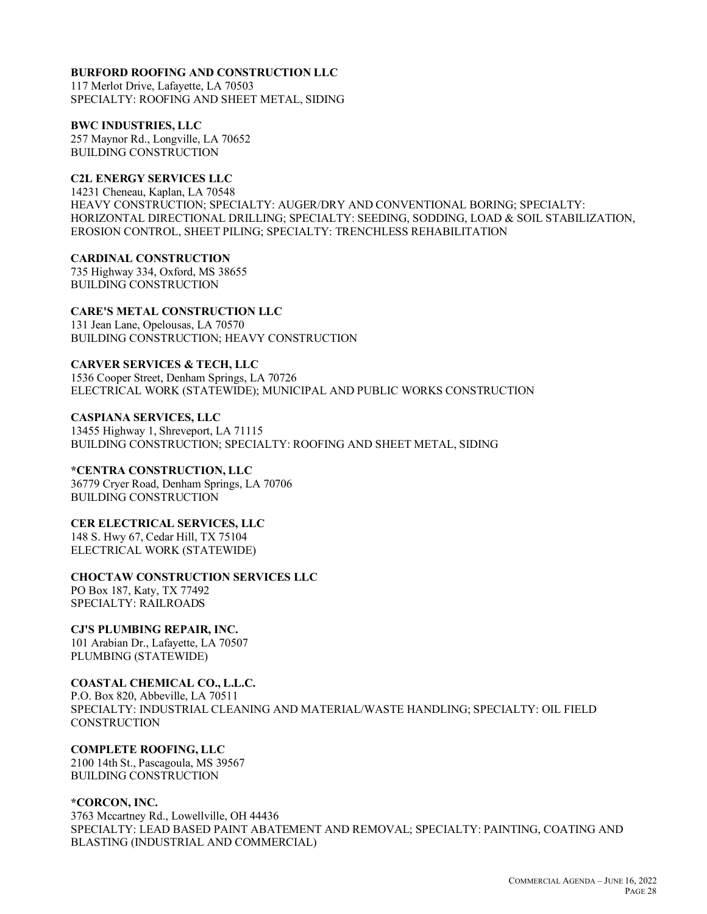### **BURFORD ROOFING AND CONSTRUCTION LLC**

117 Merlot Drive, Lafayette, LA 70503 SPECIALTY: ROOFING AND SHEET METAL, SIDING

**BWC INDUSTRIES, LLC** 257 Maynor Rd., Longville, LA 70652

BUILDING CONSTRUCTION

#### **C2L ENERGY SERVICES LLC**

14231 Cheneau, Kaplan, LA 70548 HEAVY CONSTRUCTION; SPECIALTY: AUGER/DRY AND CONVENTIONAL BORING; SPECIALTY: HORIZONTAL DIRECTIONAL DRILLING; SPECIALTY: SEEDING, SODDING, LOAD & SOIL STABILIZATION, EROSION CONTROL, SHEET PILING; SPECIALTY: TRENCHLESS REHABILITATION

**CARDINAL CONSTRUCTION** 735 Highway 334, Oxford, MS 38655 BUILDING CONSTRUCTION

**CARE'S METAL CONSTRUCTION LLC** 131 Jean Lane, Opelousas, LA 70570 BUILDING CONSTRUCTION; HEAVY CONSTRUCTION

**CARVER SERVICES & TECH, LLC** 1536 Cooper Street, Denham Springs, LA 70726 ELECTRICAL WORK (STATEWIDE); MUNICIPAL AND PUBLIC WORKS CONSTRUCTION

**CASPIANA SERVICES, LLC** 13455 Highway 1, Shreveport, LA 71115 BUILDING CONSTRUCTION; SPECIALTY: ROOFING AND SHEET METAL, SIDING

## **\*CENTRA CONSTRUCTION, LLC**

36779 Cryer Road, Denham Springs, LA 70706 BUILDING CONSTRUCTION

## **CER ELECTRICAL SERVICES, LLC**

148 S. Hwy 67, Cedar Hill, TX 75104 ELECTRICAL WORK (STATEWIDE)

#### **CHOCTAW CONSTRUCTION SERVICES LLC**

PO Box 187, Katy, TX 77492 SPECIALTY: RAILROADS

**CJ'S PLUMBING REPAIR, INC.**

101 Arabian Dr., Lafayette, LA 70507 PLUMBING (STATEWIDE)

#### **COASTAL CHEMICAL CO., L.L.C.**

P.O. Box 820, Abbeville, LA 70511 SPECIALTY: INDUSTRIAL CLEANING AND MATERIAL/WASTE HANDLING; SPECIALTY: OIL FIELD **CONSTRUCTION** 

## **COMPLETE ROOFING, LLC**

2100 14th St., Pascagoula, MS 39567 BUILDING CONSTRUCTION

#### **\*CORCON, INC.**

3763 Mccartney Rd., Lowellville, OH 44436 SPECIALTY: LEAD BASED PAINT ABATEMENT AND REMOVAL; SPECIALTY: PAINTING, COATING AND BLASTING (INDUSTRIAL AND COMMERCIAL)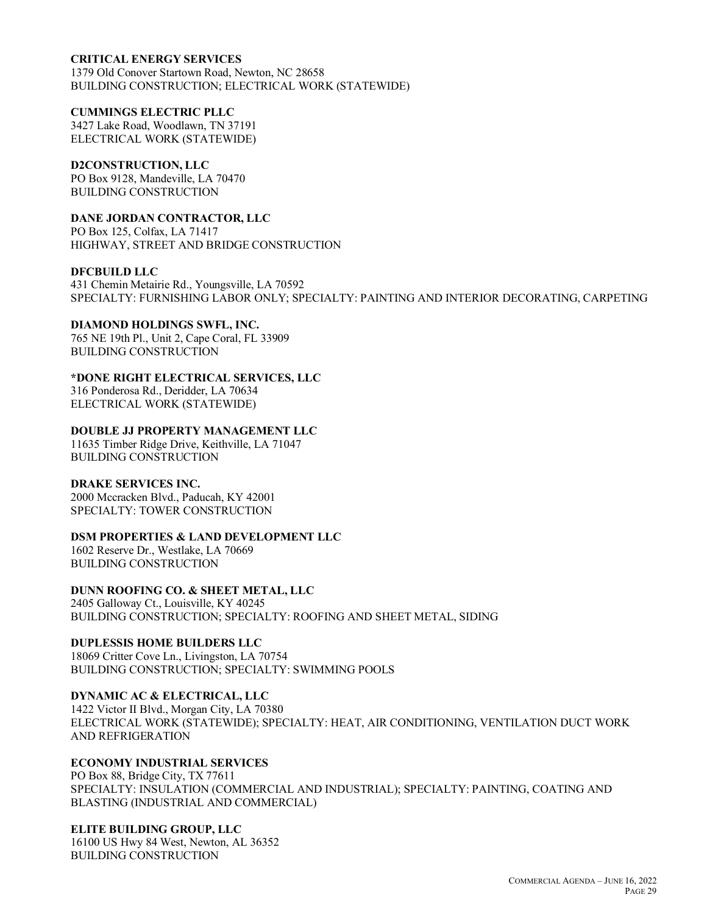### **CRITICAL ENERGY SERVICES**

1379 Old Conover Startown Road, Newton, NC 28658 BUILDING CONSTRUCTION; ELECTRICAL WORK (STATEWIDE)

#### **CUMMINGS ELECTRIC PLLC**

3427 Lake Road, Woodlawn, TN 37191 ELECTRICAL WORK (STATEWIDE)

### **D2CONSTRUCTION, LLC**

PO Box 9128, Mandeville, LA 70470 BUILDING CONSTRUCTION

## **DANE JORDAN CONTRACTOR, LLC**

PO Box 125, Colfax, LA 71417 HIGHWAY, STREET AND BRIDGE CONSTRUCTION

#### **DFCBUILD LLC**

431 Chemin Metairie Rd., Youngsville, LA 70592 SPECIALTY: FURNISHING LABOR ONLY; SPECIALTY: PAINTING AND INTERIOR DECORATING, CARPETING

#### **DIAMOND HOLDINGS SWFL, INC.**

765 NE 19th Pl., Unit 2, Cape Coral, FL 33909 BUILDING CONSTRUCTION

#### **\*DONE RIGHT ELECTRICAL SERVICES, LLC**

316 Ponderosa Rd., Deridder, LA 70634 ELECTRICAL WORK (STATEWIDE)

#### **DOUBLE JJ PROPERTY MANAGEMENT LLC**

11635 Timber Ridge Drive, Keithville, LA 71047 BUILDING CONSTRUCTION

#### **DRAKE SERVICES INC.**

2000 Mccracken Blvd., Paducah, KY 42001 SPECIALTY: TOWER CONSTRUCTION

#### **DSM PROPERTIES & LAND DEVELOPMENT LLC**

1602 Reserve Dr., Westlake, LA 70669 BUILDING CONSTRUCTION

## **DUNN ROOFING CO. & SHEET METAL, LLC**

2405 Galloway Ct., Louisville, KY 40245 BUILDING CONSTRUCTION; SPECIALTY: ROOFING AND SHEET METAL, SIDING

### **DUPLESSIS HOME BUILDERS LLC**

18069 Critter Cove Ln., Livingston, LA 70754 BUILDING CONSTRUCTION; SPECIALTY: SWIMMING POOLS

#### **DYNAMIC AC & ELECTRICAL, LLC**

1422 Victor II Blvd., Morgan City, LA 70380 ELECTRICAL WORK (STATEWIDE); SPECIALTY: HEAT, AIR CONDITIONING, VENTILATION DUCT WORK AND REFRIGERATION

## **ECONOMY INDUSTRIAL SERVICES**

PO Box 88, Bridge City, TX 77611 SPECIALTY: INSULATION (COMMERCIAL AND INDUSTRIAL); SPECIALTY: PAINTING, COATING AND BLASTING (INDUSTRIAL AND COMMERCIAL)

#### **ELITE BUILDING GROUP, LLC**

16100 US Hwy 84 West, Newton, AL 36352 BUILDING CONSTRUCTION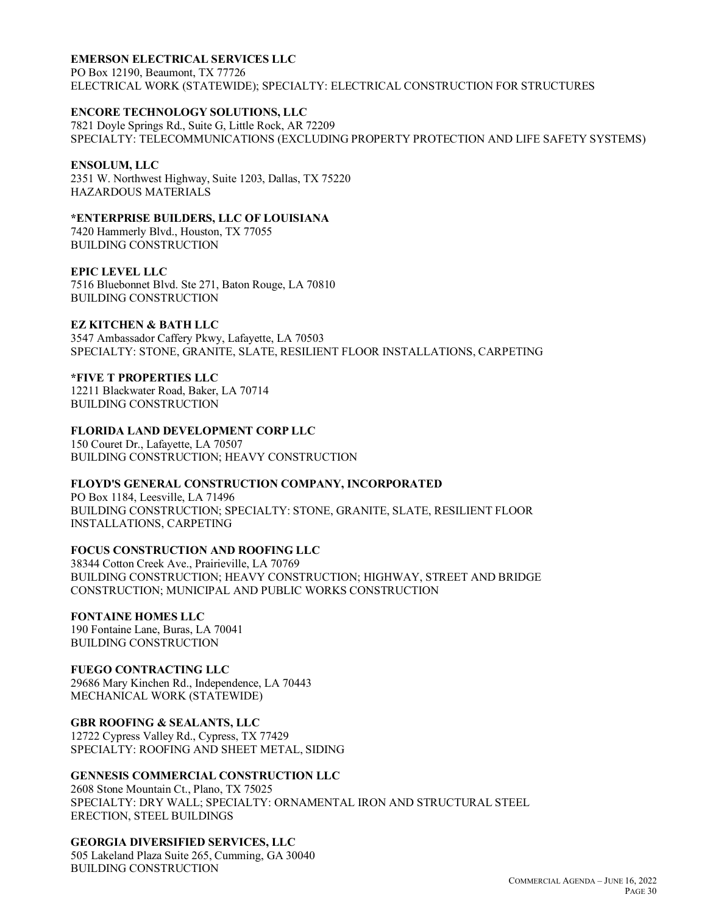## **EMERSON ELECTRICAL SERVICES LLC**

PO Box 12190, Beaumont, TX 77726 ELECTRICAL WORK (STATEWIDE); SPECIALTY: ELECTRICAL CONSTRUCTION FOR STRUCTURES

## **ENCORE TECHNOLOGY SOLUTIONS, LLC**

7821 Doyle Springs Rd., Suite G, Little Rock, AR 72209 SPECIALTY: TELECOMMUNICATIONS (EXCLUDING PROPERTY PROTECTION AND LIFE SAFETY SYSTEMS)

#### **ENSOLUM, LLC**

2351 W. Northwest Highway, Suite 1203, Dallas, TX 75220 HAZARDOUS MATERIALS

## **\*ENTERPRISE BUILDERS, LLC OF LOUISIANA**

7420 Hammerly Blvd., Houston, TX 77055 BUILDING CONSTRUCTION

#### **EPIC LEVEL LLC**

7516 Bluebonnet Blvd. Ste 271, Baton Rouge, LA 70810 BUILDING CONSTRUCTION

## **EZ KITCHEN & BATH LLC**

3547 Ambassador Caffery Pkwy, Lafayette, LA 70503 SPECIALTY: STONE, GRANITE, SLATE, RESILIENT FLOOR INSTALLATIONS, CARPETING

## **\*FIVE T PROPERTIES LLC**

12211 Blackwater Road, Baker, LA 70714 BUILDING CONSTRUCTION

## **FLORIDA LAND DEVELOPMENT CORP LLC**

150 Couret Dr., Lafayette, LA 70507 BUILDING CONSTRUCTION; HEAVY CONSTRUCTION

## **FLOYD'S GENERAL CONSTRUCTION COMPANY, INCORPORATED**

PO Box 1184, Leesville, LA 71496 BUILDING CONSTRUCTION; SPECIALTY: STONE, GRANITE, SLATE, RESILIENT FLOOR INSTALLATIONS, CARPETING

## **FOCUS CONSTRUCTION AND ROOFING LLC**

38344 Cotton Creek Ave., Prairieville, LA 70769 BUILDING CONSTRUCTION; HEAVY CONSTRUCTION; HIGHWAY, STREET AND BRIDGE CONSTRUCTION; MUNICIPAL AND PUBLIC WORKS CONSTRUCTION

## **FONTAINE HOMES LLC**

190 Fontaine Lane, Buras, LA 70041 BUILDING CONSTRUCTION

## **FUEGO CONTRACTING LLC**

29686 Mary Kinchen Rd., Independence, LA 70443 MECHANICAL WORK (STATEWIDE)

## **GBR ROOFING & SEALANTS, LLC**

12722 Cypress Valley Rd., Cypress, TX 77429 SPECIALTY: ROOFING AND SHEET METAL, SIDING

#### **GENNESIS COMMERCIAL CONSTRUCTION LLC**

2608 Stone Mountain Ct., Plano, TX 75025 SPECIALTY: DRY WALL; SPECIALTY: ORNAMENTAL IRON AND STRUCTURAL STEEL ERECTION, STEEL BUILDINGS

#### **GEORGIA DIVERSIFIED SERVICES, LLC**

505 Lakeland Plaza Suite 265, Cumming, GA 30040 BUILDING CONSTRUCTION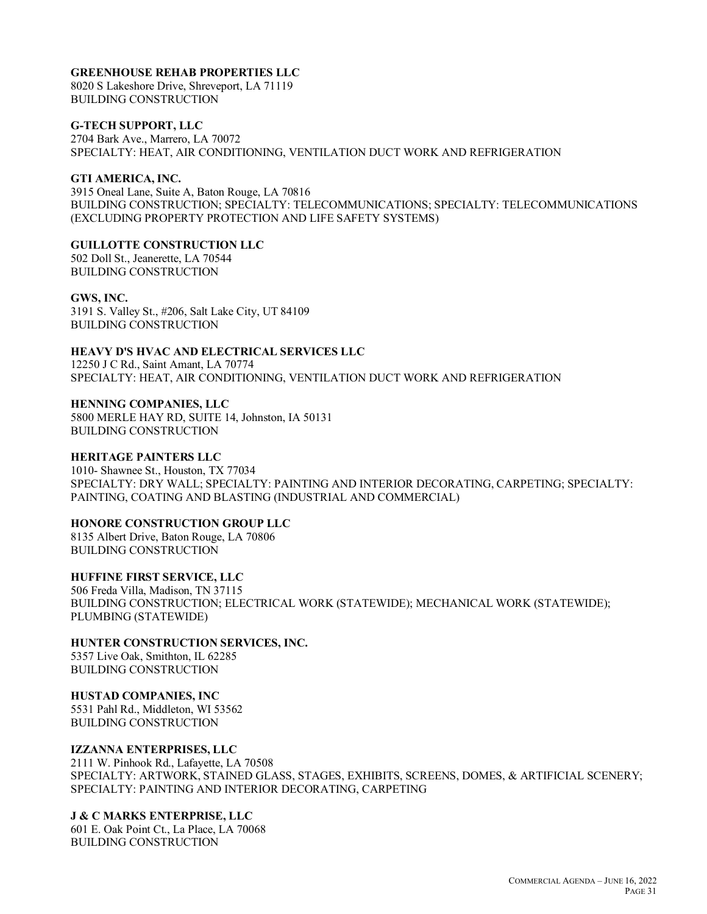### **GREENHOUSE REHAB PROPERTIES LLC**

8020 S Lakeshore Drive, Shreveport, LA 71119 BUILDING CONSTRUCTION

**G-TECH SUPPORT, LLC**

2704 Bark Ave., Marrero, LA 70072 SPECIALTY: HEAT, AIR CONDITIONING, VENTILATION DUCT WORK AND REFRIGERATION

## **GTI AMERICA, INC.**

3915 Oneal Lane, Suite A, Baton Rouge, LA 70816 BUILDING CONSTRUCTION; SPECIALTY: TELECOMMUNICATIONS; SPECIALTY: TELECOMMUNICATIONS (EXCLUDING PROPERTY PROTECTION AND LIFE SAFETY SYSTEMS)

## **GUILLOTTE CONSTRUCTION LLC**

502 Doll St., Jeanerette, LA 70544 BUILDING CONSTRUCTION

## **GWS, INC.**

3191 S. Valley St., #206, Salt Lake City, UT 84109 BUILDING CONSTRUCTION

## **HEAVY D'S HVAC AND ELECTRICAL SERVICES LLC**

12250 J C Rd., Saint Amant, LA 70774 SPECIALTY: HEAT, AIR CONDITIONING, VENTILATION DUCT WORK AND REFRIGERATION

#### **HENNING COMPANIES, LLC** 5800 MERLE HAY RD, SUITE 14, Johnston, IA 50131 BUILDING CONSTRUCTION

### **HERITAGE PAINTERS LLC**

1010- Shawnee St., Houston, TX 77034 SPECIALTY: DRY WALL; SPECIALTY: PAINTING AND INTERIOR DECORATING, CARPETING; SPECIALTY: PAINTING, COATING AND BLASTING (INDUSTRIAL AND COMMERCIAL)

#### **HONORE CONSTRUCTION GROUP LLC**

8135 Albert Drive, Baton Rouge, LA 70806 BUILDING CONSTRUCTION

**HUFFINE FIRST SERVICE, LLC** 506 Freda Villa, Madison, TN 37115 BUILDING CONSTRUCTION; ELECTRICAL WORK (STATEWIDE); MECHANICAL WORK (STATEWIDE); PLUMBING (STATEWIDE)

**HUNTER CONSTRUCTION SERVICES, INC.** 5357 Live Oak, Smithton, IL 62285

BUILDING CONSTRUCTION

**HUSTAD COMPANIES, INC** 5531 Pahl Rd., Middleton, WI 53562

BUILDING CONSTRUCTION

## **IZZANNA ENTERPRISES, LLC**

2111 W. Pinhook Rd., Lafayette, LA 70508 SPECIALTY: ARTWORK, STAINED GLASS, STAGES, EXHIBITS, SCREENS, DOMES, & ARTIFICIAL SCENERY; SPECIALTY: PAINTING AND INTERIOR DECORATING, CARPETING

## **J & C MARKS ENTERPRISE, LLC**

601 E. Oak Point Ct., La Place, LA 70068 BUILDING CONSTRUCTION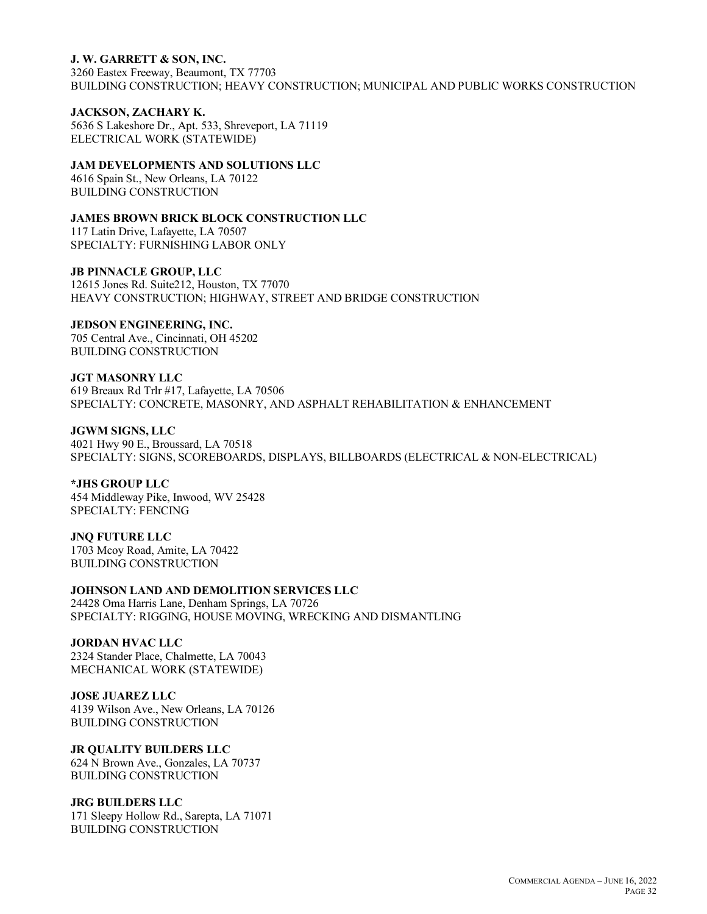#### **J. W. GARRETT & SON, INC.**

3260 Eastex Freeway, Beaumont, TX 77703 BUILDING CONSTRUCTION; HEAVY CONSTRUCTION; MUNICIPAL AND PUBLIC WORKS CONSTRUCTION

#### **JACKSON, ZACHARY K.**

5636 S Lakeshore Dr., Apt. 533, Shreveport, LA 71119 ELECTRICAL WORK (STATEWIDE)

#### **JAM DEVELOPMENTS AND SOLUTIONS LLC**

4616 Spain St., New Orleans, LA 70122 BUILDING CONSTRUCTION

#### **JAMES BROWN BRICK BLOCK CONSTRUCTION LLC**

117 Latin Drive, Lafayette, LA 70507 SPECIALTY: FURNISHING LABOR ONLY

#### **JB PINNACLE GROUP, LLC**

12615 Jones Rd. Suite212, Houston, TX 77070 HEAVY CONSTRUCTION; HIGHWAY, STREET AND BRIDGE CONSTRUCTION

#### **JEDSON ENGINEERING, INC.**

705 Central Ave., Cincinnati, OH 45202 BUILDING CONSTRUCTION

**JGT MASONRY LLC** 619 Breaux Rd Trlr #17, Lafayette, LA 70506 SPECIALTY: CONCRETE, MASONRY, AND ASPHALT REHABILITATION & ENHANCEMENT

**JGWM SIGNS, LLC** 4021 Hwy 90 E., Broussard, LA 70518 SPECIALTY: SIGNS, SCOREBOARDS, DISPLAYS, BILLBOARDS (ELECTRICAL & NON-ELECTRICAL)

#### **\*JHS GROUP LLC**

454 Middleway Pike, Inwood, WV 25428 SPECIALTY: FENCING

**JNQ FUTURE LLC** 1703 Mcoy Road, Amite, LA 70422 BUILDING CONSTRUCTION

## **JOHNSON LAND AND DEMOLITION SERVICES LLC**

24428 Oma Harris Lane, Denham Springs, LA 70726 SPECIALTY: RIGGING, HOUSE MOVING, WRECKING AND DISMANTLING

### **JORDAN HVAC LLC**

2324 Stander Place, Chalmette, LA 70043 MECHANICAL WORK (STATEWIDE)

#### **JOSE JUAREZ LLC**

4139 Wilson Ave., New Orleans, LA 70126 BUILDING CONSTRUCTION

#### **JR QUALITY BUILDERS LLC**

624 N Brown Ave., Gonzales, LA 70737 BUILDING CONSTRUCTION

#### **JRG BUILDERS LLC**

171 Sleepy Hollow Rd., Sarepta, LA 71071 BUILDING CONSTRUCTION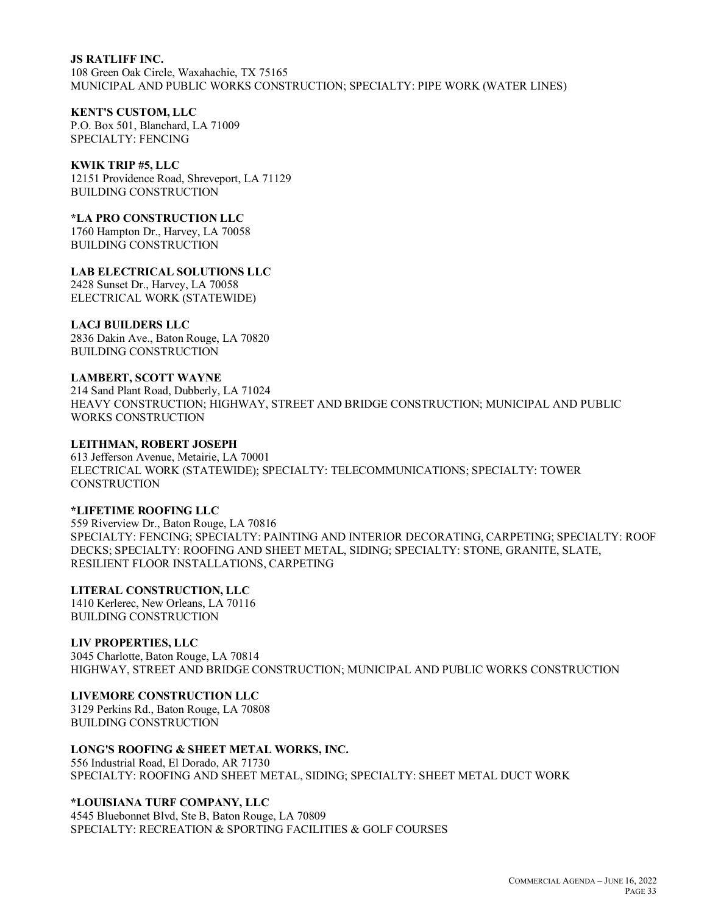#### **JS RATLIFF INC.**

108 Green Oak Circle, Waxahachie, TX 75165 MUNICIPAL AND PUBLIC WORKS CONSTRUCTION; SPECIALTY: PIPE WORK (WATER LINES)

#### **KENT'S CUSTOM, LLC**

P.O. Box 501, Blanchard, LA 71009 SPECIALTY: FENCING

#### **KWIK TRIP #5, LLC**

12151 Providence Road, Shreveport, LA 71129 BUILDING CONSTRUCTION

**\*LA PRO CONSTRUCTION LLC**

1760 Hampton Dr., Harvey, LA 70058 BUILDING CONSTRUCTION

**LAB ELECTRICAL SOLUTIONS LLC**

2428 Sunset Dr., Harvey, LA 70058 ELECTRICAL WORK (STATEWIDE)

#### **LACJ BUILDERS LLC**

2836 Dakin Ave., Baton Rouge, LA 70820 BUILDING CONSTRUCTION

#### **LAMBERT, SCOTT WAYNE**

214 Sand Plant Road, Dubberly, LA 71024 HEAVY CONSTRUCTION; HIGHWAY, STREET AND BRIDGE CONSTRUCTION; MUNICIPAL AND PUBLIC WORKS CONSTRUCTION

### **LEITHMAN, ROBERT JOSEPH**

613 Jefferson Avenue, Metairie, LA 70001 ELECTRICAL WORK (STATEWIDE); SPECIALTY: TELECOMMUNICATIONS; SPECIALTY: TOWER **CONSTRUCTION** 

### **\*LIFETIME ROOFING LLC**

559 Riverview Dr., Baton Rouge, LA 70816 SPECIALTY: FENCING; SPECIALTY: PAINTING AND INTERIOR DECORATING, CARPETING; SPECIALTY: ROOF DECKS; SPECIALTY: ROOFING AND SHEET METAL, SIDING; SPECIALTY: STONE, GRANITE, SLATE, RESILIENT FLOOR INSTALLATIONS, CARPETING

## **LITERAL CONSTRUCTION, LLC**

1410 Kerlerec, New Orleans, LA 70116 BUILDING CONSTRUCTION

#### **LIV PROPERTIES, LLC**

3045 Charlotte, Baton Rouge, LA 70814 HIGHWAY, STREET AND BRIDGE CONSTRUCTION; MUNICIPAL AND PUBLIC WORKS CONSTRUCTION

## **LIVEMORE CONSTRUCTION LLC**

3129 Perkins Rd., Baton Rouge, LA 70808 BUILDING CONSTRUCTION

## **LONG'S ROOFING & SHEET METAL WORKS, INC.**

556 Industrial Road, El Dorado, AR 71730 SPECIALTY: ROOFING AND SHEET METAL, SIDING; SPECIALTY: SHEET METAL DUCT WORK

#### **\*LOUISIANA TURF COMPANY, LLC**

4545 Bluebonnet Blvd, Ste B, Baton Rouge, LA 70809 SPECIALTY: RECREATION & SPORTING FACILITIES & GOLF COURSES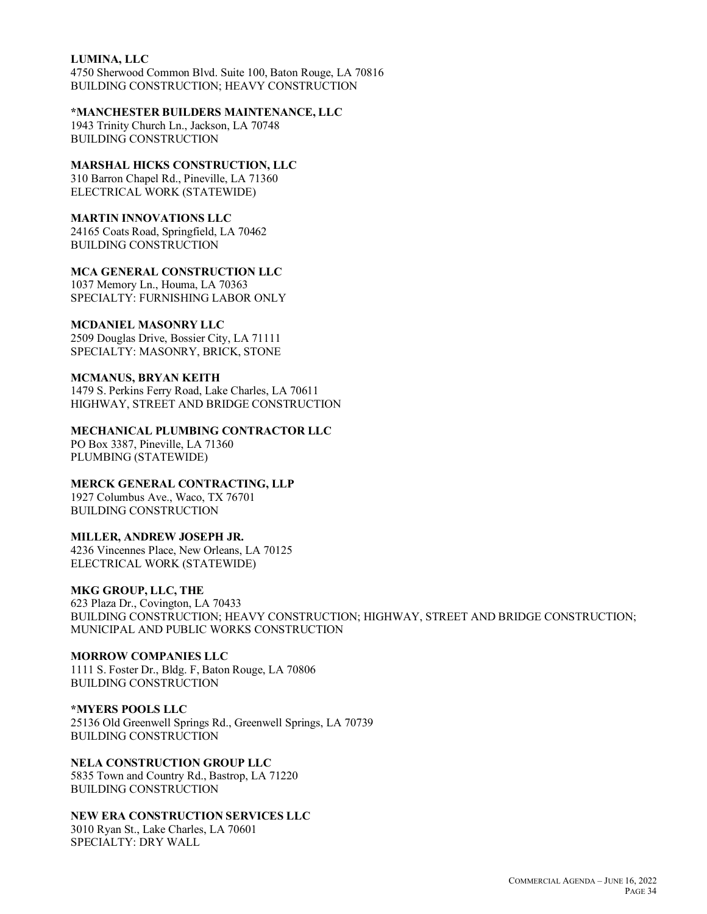#### **LUMINA, LLC**

4750 Sherwood Common Blvd. Suite 100, Baton Rouge, LA 70816 BUILDING CONSTRUCTION; HEAVY CONSTRUCTION

#### **\*MANCHESTER BUILDERS MAINTENANCE, LLC**

1943 Trinity Church Ln., Jackson, LA 70748 BUILDING CONSTRUCTION

## **MARSHAL HICKS CONSTRUCTION, LLC**

310 Barron Chapel Rd., Pineville, LA 71360 ELECTRICAL WORK (STATEWIDE)

## **MARTIN INNOVATIONS LLC**

24165 Coats Road, Springfield, LA 70462 BUILDING CONSTRUCTION

## **MCA GENERAL CONSTRUCTION LLC**

1037 Memory Ln., Houma, LA 70363 SPECIALTY: FURNISHING LABOR ONLY

## **MCDANIEL MASONRY LLC**

2509 Douglas Drive, Bossier City, LA 71111 SPECIALTY: MASONRY, BRICK, STONE

## **MCMANUS, BRYAN KEITH**

1479 S. Perkins Ferry Road, Lake Charles, LA 70611 HIGHWAY, STREET AND BRIDGE CONSTRUCTION

## **MECHANICAL PLUMBING CONTRACTOR LLC**

PO Box 3387, Pineville, LA 71360 PLUMBING (STATEWIDE)

## **MERCK GENERAL CONTRACTING, LLP**

1927 Columbus Ave., Waco, TX 76701 BUILDING CONSTRUCTION

#### **MILLER, ANDREW JOSEPH JR.**

4236 Vincennes Place, New Orleans, LA 70125 ELECTRICAL WORK (STATEWIDE)

## **MKG GROUP, LLC, THE**

623 Plaza Dr., Covington, LA 70433 BUILDING CONSTRUCTION; HEAVY CONSTRUCTION; HIGHWAY, STREET AND BRIDGE CONSTRUCTION; MUNICIPAL AND PUBLIC WORKS CONSTRUCTION

## **MORROW COMPANIES LLC**

1111 S. Foster Dr., Bldg. F, Baton Rouge, LA 70806 BUILDING CONSTRUCTION

#### **\*MYERS POOLS LLC** 25136 Old Greenwell Springs Rd., Greenwell Springs, LA 70739 BUILDING CONSTRUCTION

**NELA CONSTRUCTION GROUP LLC** 5835 Town and Country Rd., Bastrop, LA 71220 BUILDING CONSTRUCTION

## **NEW ERA CONSTRUCTION SERVICES LLC**

3010 Ryan St., Lake Charles, LA 70601 SPECIALTY: DRY WALL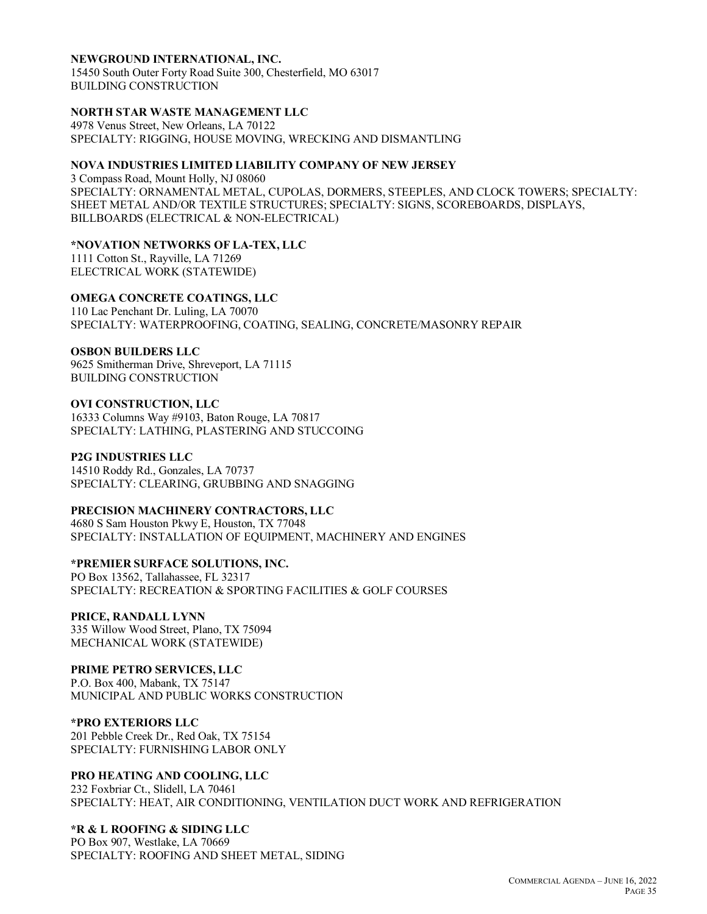#### **NEWGROUND INTERNATIONAL, INC.**

15450 South Outer Forty Road Suite 300, Chesterfield, MO 63017 BUILDING CONSTRUCTION

#### **NORTH STAR WASTE MANAGEMENT LLC**

4978 Venus Street, New Orleans, LA 70122 SPECIALTY: RIGGING, HOUSE MOVING, WRECKING AND DISMANTLING

#### **NOVA INDUSTRIES LIMITED LIABILITY COMPANY OF NEW JERSEY**

3 Compass Road, Mount Holly, NJ 08060 SPECIALTY: ORNAMENTAL METAL, CUPOLAS, DORMERS, STEEPLES, AND CLOCK TOWERS; SPECIALTY: SHEET METAL AND/OR TEXTILE STRUCTURES; SPECIALTY: SIGNS, SCOREBOARDS, DISPLAYS, BILLBOARDS (ELECTRICAL & NON-ELECTRICAL)

#### **\*NOVATION NETWORKS OF LA-TEX, LLC**

1111 Cotton St., Rayville, LA 71269 ELECTRICAL WORK (STATEWIDE)

#### **OMEGA CONCRETE COATINGS, LLC**

110 Lac Penchant Dr. Luling, LA 70070 SPECIALTY: WATERPROOFING, COATING, SEALING, CONCRETE/MASONRY REPAIR

#### **OSBON BUILDERS LLC**

9625 Smitherman Drive, Shreveport, LA 71115 BUILDING CONSTRUCTION

## **OVI CONSTRUCTION, LLC**

16333 Columns Way #9103, Baton Rouge, LA 70817 SPECIALTY: LATHING, PLASTERING AND STUCCOING

#### **P2G INDUSTRIES LLC**

14510 Roddy Rd., Gonzales, LA 70737 SPECIALTY: CLEARING, GRUBBING AND SNAGGING

#### **PRECISION MACHINERY CONTRACTORS, LLC**

4680 S Sam Houston Pkwy E, Houston, TX 77048 SPECIALTY: INSTALLATION OF EQUIPMENT, MACHINERY AND ENGINES

#### **\*PREMIER SURFACE SOLUTIONS, INC.**

PO Box 13562, Tallahassee, FL 32317 SPECIALTY: RECREATION & SPORTING FACILITIES & GOLF COURSES

#### **PRICE, RANDALL LYNN**

335 Willow Wood Street, Plano, TX 75094 MECHANICAL WORK (STATEWIDE)

## **PRIME PETRO SERVICES, LLC**

P.O. Box 400, Mabank, TX 75147 MUNICIPAL AND PUBLIC WORKS CONSTRUCTION

## **\*PRO EXTERIORS LLC**

201 Pebble Creek Dr., Red Oak, TX 75154 SPECIALTY: FURNISHING LABOR ONLY

## **PRO HEATING AND COOLING, LLC**

232 Foxbriar Ct., Slidell, LA 70461 SPECIALTY: HEAT, AIR CONDITIONING, VENTILATION DUCT WORK AND REFRIGERATION

### **\*R & L ROOFING & SIDING LLC**

PO Box 907, Westlake, LA 70669 SPECIALTY: ROOFING AND SHEET METAL, SIDING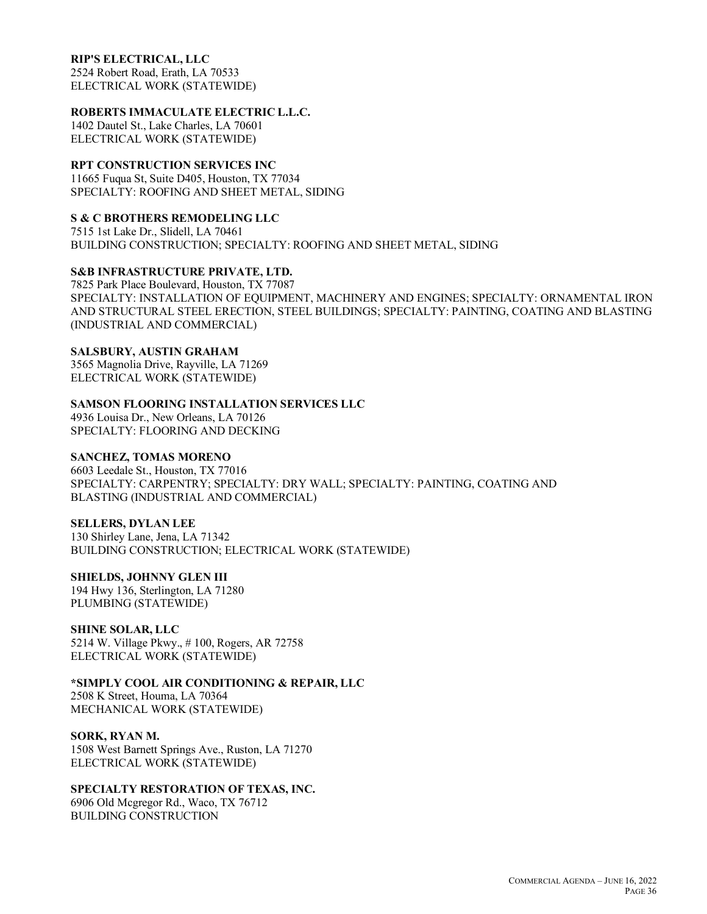### **RIP'S ELECTRICAL, LLC**

2524 Robert Road, Erath, LA 70533 ELECTRICAL WORK (STATEWIDE)

## **ROBERTS IMMACULATE ELECTRIC L.L.C.**

1402 Dautel St., Lake Charles, LA 70601 ELECTRICAL WORK (STATEWIDE)

## **RPT CONSTRUCTION SERVICES INC**

11665 Fuqua St, Suite D405, Houston, TX 77034 SPECIALTY: ROOFING AND SHEET METAL, SIDING

## **S & C BROTHERS REMODELING LLC**

7515 1st Lake Dr., Slidell, LA 70461 BUILDING CONSTRUCTION; SPECIALTY: ROOFING AND SHEET METAL, SIDING

## **S&B INFRASTRUCTURE PRIVATE, LTD.**

7825 Park Place Boulevard, Houston, TX 77087 SPECIALTY: INSTALLATION OF EQUIPMENT, MACHINERY AND ENGINES; SPECIALTY: ORNAMENTAL IRON AND STRUCTURAL STEEL ERECTION, STEEL BUILDINGS; SPECIALTY: PAINTING, COATING AND BLASTING (INDUSTRIAL AND COMMERCIAL)

## **SALSBURY, AUSTIN GRAHAM**

3565 Magnolia Drive, Rayville, LA 71269 ELECTRICAL WORK (STATEWIDE)

## **SAMSON FLOORING INSTALLATION SERVICES LLC**

4936 Louisa Dr., New Orleans, LA 70126 SPECIALTY: FLOORING AND DECKING

### **SANCHEZ, TOMAS MORENO**

6603 Leedale St., Houston, TX 77016 SPECIALTY: CARPENTRY; SPECIALTY: DRY WALL; SPECIALTY: PAINTING, COATING AND BLASTING (INDUSTRIAL AND COMMERCIAL)

#### **SELLERS, DYLAN LEE**

130 Shirley Lane, Jena, LA 71342 BUILDING CONSTRUCTION; ELECTRICAL WORK (STATEWIDE)

## **SHIELDS, JOHNNY GLEN III**

194 Hwy 136, Sterlington, LA 71280 PLUMBING (STATEWIDE)

#### **SHINE SOLAR, LLC**

5214 W. Village Pkwy., # 100, Rogers, AR 72758 ELECTRICAL WORK (STATEWIDE)

## **\*SIMPLY COOL AIR CONDITIONING & REPAIR, LLC**

2508 K Street, Houma, LA 70364 MECHANICAL WORK (STATEWIDE)

#### **SORK, RYAN M.**

1508 West Barnett Springs Ave., Ruston, LA 71270 ELECTRICAL WORK (STATEWIDE)

## **SPECIALTY RESTORATION OF TEXAS, INC.**

6906 Old Mcgregor Rd., Waco, TX 76712 BUILDING CONSTRUCTION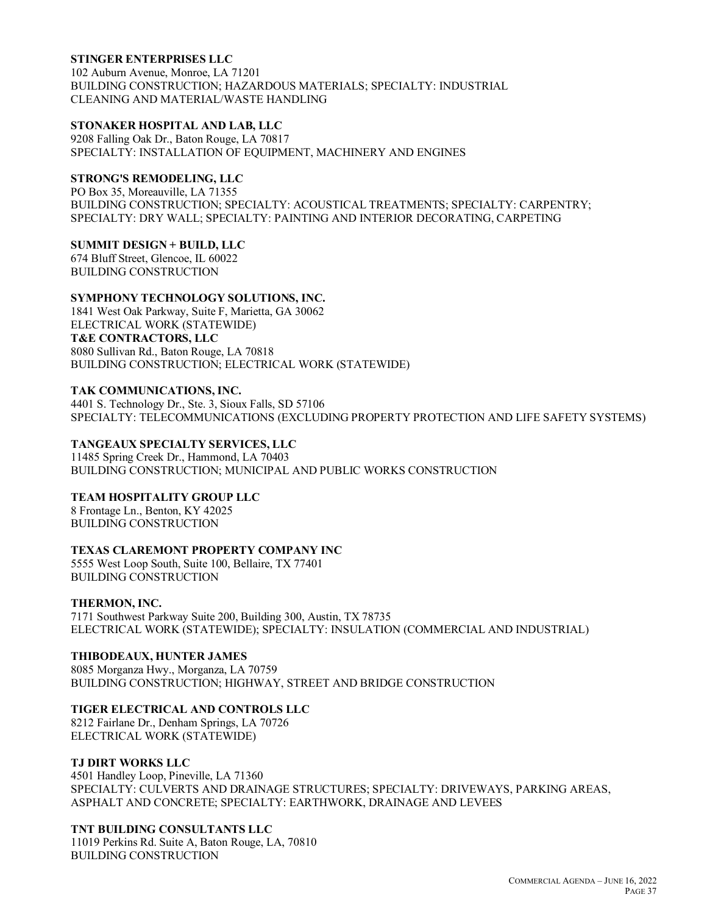#### **STINGER ENTERPRISES LLC**

102 Auburn Avenue, Monroe, LA 71201 BUILDING CONSTRUCTION; HAZARDOUS MATERIALS; SPECIALTY: INDUSTRIAL CLEANING AND MATERIAL/WASTE HANDLING

#### **STONAKER HOSPITAL AND LAB, LLC**

9208 Falling Oak Dr., Baton Rouge, LA 70817 SPECIALTY: INSTALLATION OF EQUIPMENT, MACHINERY AND ENGINES

## **STRONG'S REMODELING, LLC**

PO Box 35, Moreauville, LA 71355 BUILDING CONSTRUCTION; SPECIALTY: ACOUSTICAL TREATMENTS; SPECIALTY: CARPENTRY; SPECIALTY: DRY WALL; SPECIALTY: PAINTING AND INTERIOR DECORATING, CARPETING

#### **SUMMIT DESIGN + BUILD, LLC**

674 Bluff Street, Glencoe, IL 60022 BUILDING CONSTRUCTION

## **SYMPHONY TECHNOLOGY SOLUTIONS, INC.**

1841 West Oak Parkway, Suite F, Marietta, GA 30062 ELECTRICAL WORK (STATEWIDE) **T&E CONTRACTORS, LLC** 8080 Sullivan Rd., Baton Rouge, LA 70818 BUILDING CONSTRUCTION; ELECTRICAL WORK (STATEWIDE)

## **TAK COMMUNICATIONS, INC.**

4401 S. Technology Dr., Ste. 3, Sioux Falls, SD 57106 SPECIALTY: TELECOMMUNICATIONS (EXCLUDING PROPERTY PROTECTION AND LIFE SAFETY SYSTEMS)

## **TANGEAUX SPECIALTY SERVICES, LLC**

11485 Spring Creek Dr., Hammond, LA 70403 BUILDING CONSTRUCTION; MUNICIPAL AND PUBLIC WORKS CONSTRUCTION

## **TEAM HOSPITALITY GROUP LLC**

8 Frontage Ln., Benton, KY 42025 BUILDING CONSTRUCTION

## **TEXAS CLAREMONT PROPERTY COMPANY INC**

5555 West Loop South, Suite 100, Bellaire, TX 77401 BUILDING CONSTRUCTION

#### **THERMON, INC.**

7171 Southwest Parkway Suite 200, Building 300, Austin, TX 78735 ELECTRICAL WORK (STATEWIDE); SPECIALTY: INSULATION (COMMERCIAL AND INDUSTRIAL)

#### **THIBODEAUX, HUNTER JAMES**

8085 Morganza Hwy., Morganza, LA 70759 BUILDING CONSTRUCTION; HIGHWAY, STREET AND BRIDGE CONSTRUCTION

#### **TIGER ELECTRICAL AND CONTROLS LLC**

8212 Fairlane Dr., Denham Springs, LA 70726 ELECTRICAL WORK (STATEWIDE)

## **TJ DIRT WORKS LLC**

4501 Handley Loop, Pineville, LA 71360 SPECIALTY: CULVERTS AND DRAINAGE STRUCTURES; SPECIALTY: DRIVEWAYS, PARKING AREAS, ASPHALT AND CONCRETE; SPECIALTY: EARTHWORK, DRAINAGE AND LEVEES

#### **TNT BUILDING CONSULTANTS LLC**

11019 Perkins Rd. Suite A, Baton Rouge, LA, 70810 BUILDING CONSTRUCTION